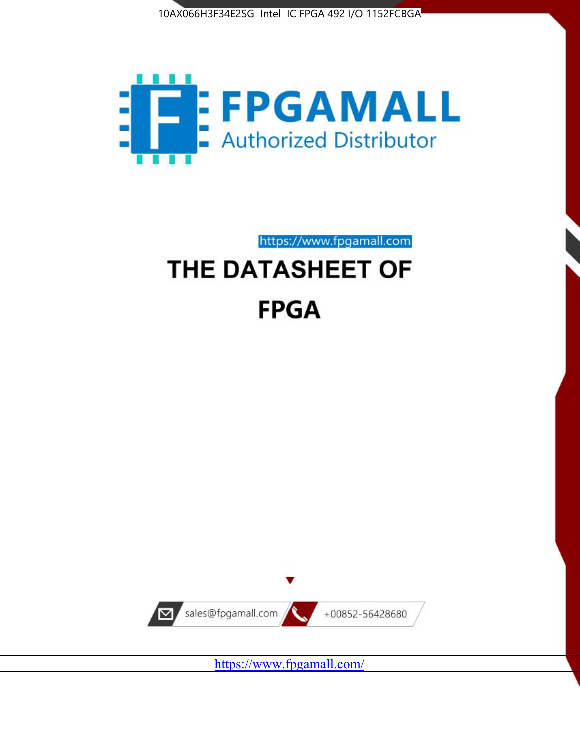



# https://www.fpgamall.com THE DATASHEET OF **FPGA**



<https://www.fpgamall.com/>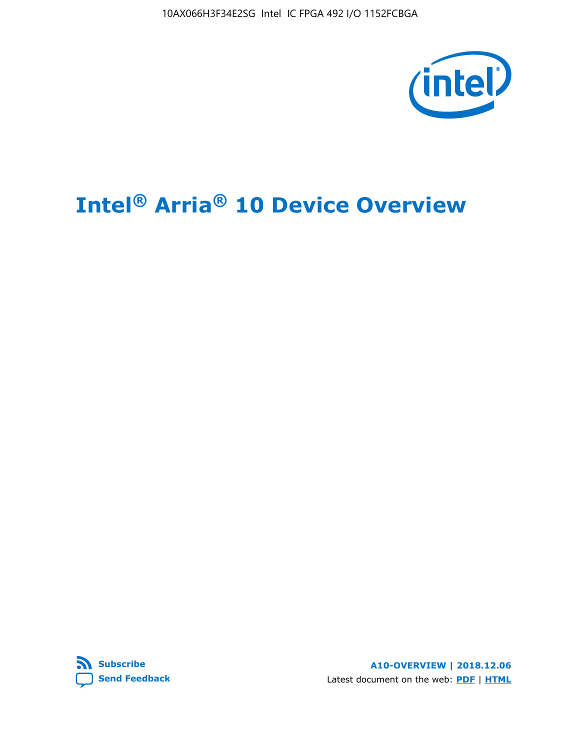10AX066H3F34E2SG Intel IC FPGA 492 I/O 1152FCBGA



# **Intel® Arria® 10 Device Overview**



**A10-OVERVIEW | 2018.12.06** Latest document on the web: **[PDF](https://www.intel.com/content/dam/www/programmable/us/en/pdfs/literature/hb/arria-10/a10_overview.pdf)** | **[HTML](https://www.intel.com/content/www/us/en/programmable/documentation/sam1403480274650.html)**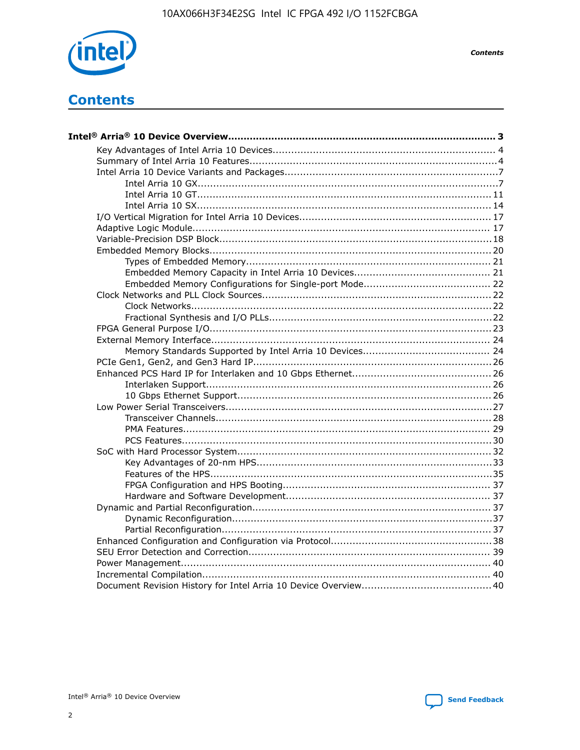

**Contents** 

## **Contents**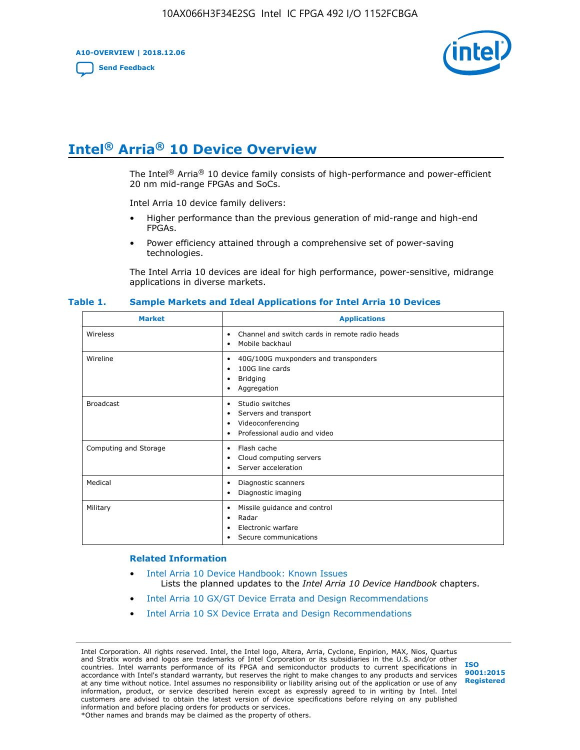**A10-OVERVIEW | 2018.12.06**

**[Send Feedback](mailto:FPGAtechdocfeedback@intel.com?subject=Feedback%20on%20Intel%20Arria%2010%20Device%20Overview%20(A10-OVERVIEW%202018.12.06)&body=We%20appreciate%20your%20feedback.%20In%20your%20comments,%20also%20specify%20the%20page%20number%20or%20paragraph.%20Thank%20you.)**



## **Intel® Arria® 10 Device Overview**

The Intel<sup>®</sup> Arria<sup>®</sup> 10 device family consists of high-performance and power-efficient 20 nm mid-range FPGAs and SoCs.

Intel Arria 10 device family delivers:

- Higher performance than the previous generation of mid-range and high-end FPGAs.
- Power efficiency attained through a comprehensive set of power-saving technologies.

The Intel Arria 10 devices are ideal for high performance, power-sensitive, midrange applications in diverse markets.

| <b>Market</b>         | <b>Applications</b>                                                                                               |
|-----------------------|-------------------------------------------------------------------------------------------------------------------|
| Wireless              | Channel and switch cards in remote radio heads<br>٠<br>Mobile backhaul<br>٠                                       |
| Wireline              | 40G/100G muxponders and transponders<br>٠<br>100G line cards<br>٠<br><b>Bridging</b><br>٠<br>Aggregation<br>٠     |
| <b>Broadcast</b>      | Studio switches<br>٠<br>Servers and transport<br>٠<br>Videoconferencing<br>٠<br>Professional audio and video<br>٠ |
| Computing and Storage | Flash cache<br>٠<br>Cloud computing servers<br>٠<br>Server acceleration<br>٠                                      |
| Medical               | Diagnostic scanners<br>٠<br>Diagnostic imaging<br>٠                                                               |
| Military              | Missile guidance and control<br>٠<br>Radar<br>٠<br>Electronic warfare<br>٠<br>Secure communications<br>٠          |

#### **Table 1. Sample Markets and Ideal Applications for Intel Arria 10 Devices**

#### **Related Information**

- [Intel Arria 10 Device Handbook: Known Issues](http://www.altera.com/support/kdb/solutions/rd07302013_646.html) Lists the planned updates to the *Intel Arria 10 Device Handbook* chapters.
- [Intel Arria 10 GX/GT Device Errata and Design Recommendations](https://www.intel.com/content/www/us/en/programmable/documentation/agz1493851706374.html#yqz1494433888646)
- [Intel Arria 10 SX Device Errata and Design Recommendations](https://www.intel.com/content/www/us/en/programmable/documentation/cru1462832385668.html#cru1462832558642)

Intel Corporation. All rights reserved. Intel, the Intel logo, Altera, Arria, Cyclone, Enpirion, MAX, Nios, Quartus and Stratix words and logos are trademarks of Intel Corporation or its subsidiaries in the U.S. and/or other countries. Intel warrants performance of its FPGA and semiconductor products to current specifications in accordance with Intel's standard warranty, but reserves the right to make changes to any products and services at any time without notice. Intel assumes no responsibility or liability arising out of the application or use of any information, product, or service described herein except as expressly agreed to in writing by Intel. Intel customers are advised to obtain the latest version of device specifications before relying on any published information and before placing orders for products or services. \*Other names and brands may be claimed as the property of others.

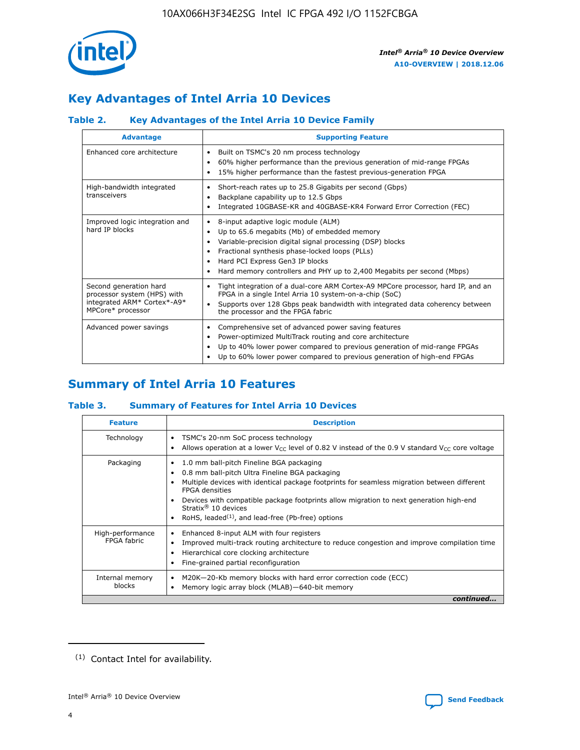

### **Key Advantages of Intel Arria 10 Devices**

### **Table 2. Key Advantages of the Intel Arria 10 Device Family**

| <b>Advantage</b>                                                                                          | <b>Supporting Feature</b>                                                                                                                                                                                                                                                                                                |
|-----------------------------------------------------------------------------------------------------------|--------------------------------------------------------------------------------------------------------------------------------------------------------------------------------------------------------------------------------------------------------------------------------------------------------------------------|
| Enhanced core architecture                                                                                | Built on TSMC's 20 nm process technology<br>٠<br>60% higher performance than the previous generation of mid-range FPGAs<br>٠<br>15% higher performance than the fastest previous-generation FPGA<br>٠                                                                                                                    |
| High-bandwidth integrated<br>transceivers                                                                 | Short-reach rates up to 25.8 Gigabits per second (Gbps)<br>٠<br>Backplane capability up to 12.5 Gbps<br>٠<br>Integrated 10GBASE-KR and 40GBASE-KR4 Forward Error Correction (FEC)<br>٠                                                                                                                                   |
| Improved logic integration and<br>hard IP blocks                                                          | 8-input adaptive logic module (ALM)<br>٠<br>Up to 65.6 megabits (Mb) of embedded memory<br>٠<br>Variable-precision digital signal processing (DSP) blocks<br>Fractional synthesis phase-locked loops (PLLs)<br>Hard PCI Express Gen3 IP blocks<br>Hard memory controllers and PHY up to 2,400 Megabits per second (Mbps) |
| Second generation hard<br>processor system (HPS) with<br>integrated ARM* Cortex*-A9*<br>MPCore* processor | Tight integration of a dual-core ARM Cortex-A9 MPCore processor, hard IP, and an<br>٠<br>FPGA in a single Intel Arria 10 system-on-a-chip (SoC)<br>Supports over 128 Gbps peak bandwidth with integrated data coherency between<br>$\bullet$<br>the processor and the FPGA fabric                                        |
| Advanced power savings                                                                                    | Comprehensive set of advanced power saving features<br>٠<br>Power-optimized MultiTrack routing and core architecture<br>٠<br>Up to 40% lower power compared to previous generation of mid-range FPGAs<br>Up to 60% lower power compared to previous generation of high-end FPGAs                                         |

### **Summary of Intel Arria 10 Features**

### **Table 3. Summary of Features for Intel Arria 10 Devices**

| <b>Feature</b>                  | <b>Description</b>                                                                                                                                                                                                                                                                                                                                                                                 |
|---------------------------------|----------------------------------------------------------------------------------------------------------------------------------------------------------------------------------------------------------------------------------------------------------------------------------------------------------------------------------------------------------------------------------------------------|
| Technology                      | TSMC's 20-nm SoC process technology<br>Allows operation at a lower $V_{\text{CC}}$ level of 0.82 V instead of the 0.9 V standard $V_{\text{CC}}$ core voltage                                                                                                                                                                                                                                      |
| Packaging                       | 1.0 mm ball-pitch Fineline BGA packaging<br>٠<br>0.8 mm ball-pitch Ultra Fineline BGA packaging<br>Multiple devices with identical package footprints for seamless migration between different<br><b>FPGA</b> densities<br>Devices with compatible package footprints allow migration to next generation high-end<br>Stratix $@10$ devices<br>RoHS, leaded $(1)$ , and lead-free (Pb-free) options |
| High-performance<br>FPGA fabric | Enhanced 8-input ALM with four registers<br>Improved multi-track routing architecture to reduce congestion and improve compilation time<br>Hierarchical core clocking architecture<br>Fine-grained partial reconfiguration                                                                                                                                                                         |
| Internal memory<br>blocks       | M20K-20-Kb memory blocks with hard error correction code (ECC)<br>Memory logic array block (MLAB)-640-bit memory                                                                                                                                                                                                                                                                                   |
|                                 | continued                                                                                                                                                                                                                                                                                                                                                                                          |



<sup>(1)</sup> Contact Intel for availability.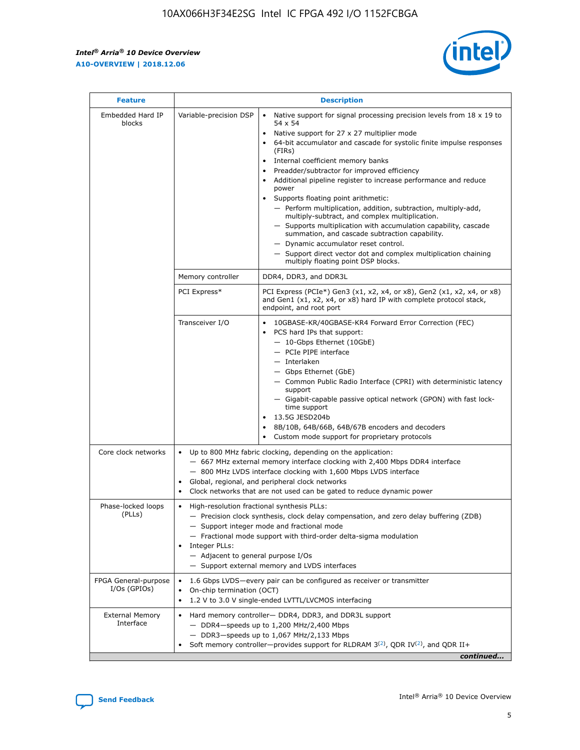r



| <b>Feature</b>                         | <b>Description</b>                                                                                             |                                                                                                                                                                                                                                                                                                                                                                                                                                                                                                                                                                                                                                                                                                                                                                                                                                        |  |  |  |  |  |
|----------------------------------------|----------------------------------------------------------------------------------------------------------------|----------------------------------------------------------------------------------------------------------------------------------------------------------------------------------------------------------------------------------------------------------------------------------------------------------------------------------------------------------------------------------------------------------------------------------------------------------------------------------------------------------------------------------------------------------------------------------------------------------------------------------------------------------------------------------------------------------------------------------------------------------------------------------------------------------------------------------------|--|--|--|--|--|
| Embedded Hard IP<br>blocks             | Variable-precision DSP                                                                                         | Native support for signal processing precision levels from $18 \times 19$ to<br>54 x 54<br>Native support for 27 x 27 multiplier mode<br>64-bit accumulator and cascade for systolic finite impulse responses<br>(FIRs)<br>Internal coefficient memory banks<br>$\bullet$<br>Preadder/subtractor for improved efficiency<br>Additional pipeline register to increase performance and reduce<br>power<br>Supports floating point arithmetic:<br>- Perform multiplication, addition, subtraction, multiply-add,<br>multiply-subtract, and complex multiplication.<br>- Supports multiplication with accumulation capability, cascade<br>summation, and cascade subtraction capability.<br>- Dynamic accumulator reset control.<br>- Support direct vector dot and complex multiplication chaining<br>multiply floating point DSP blocks. |  |  |  |  |  |
|                                        | Memory controller                                                                                              | DDR4, DDR3, and DDR3L                                                                                                                                                                                                                                                                                                                                                                                                                                                                                                                                                                                                                                                                                                                                                                                                                  |  |  |  |  |  |
|                                        | PCI Express*                                                                                                   | PCI Express (PCIe*) Gen3 (x1, x2, x4, or x8), Gen2 (x1, x2, x4, or x8)<br>and Gen1 (x1, x2, x4, or x8) hard IP with complete protocol stack,<br>endpoint, and root port                                                                                                                                                                                                                                                                                                                                                                                                                                                                                                                                                                                                                                                                |  |  |  |  |  |
|                                        | Transceiver I/O                                                                                                | 10GBASE-KR/40GBASE-KR4 Forward Error Correction (FEC)<br>PCS hard IPs that support:<br>$\bullet$<br>- 10-Gbps Ethernet (10GbE)<br>- PCIe PIPE interface<br>$-$ Interlaken<br>- Gbps Ethernet (GbE)<br>- Common Public Radio Interface (CPRI) with deterministic latency<br>support<br>- Gigabit-capable passive optical network (GPON) with fast lock-<br>time support<br>13.5G JESD204b<br>$\bullet$<br>8B/10B, 64B/66B, 64B/67B encoders and decoders<br>Custom mode support for proprietary protocols                                                                                                                                                                                                                                                                                                                               |  |  |  |  |  |
| Core clock networks                    | $\bullet$<br>$\bullet$                                                                                         | Up to 800 MHz fabric clocking, depending on the application:<br>- 667 MHz external memory interface clocking with 2,400 Mbps DDR4 interface<br>- 800 MHz LVDS interface clocking with 1,600 Mbps LVDS interface<br>Global, regional, and peripheral clock networks<br>Clock networks that are not used can be gated to reduce dynamic power                                                                                                                                                                                                                                                                                                                                                                                                                                                                                            |  |  |  |  |  |
| Phase-locked loops<br>(PLLs)           | High-resolution fractional synthesis PLLs:<br>$\bullet$<br>Integer PLLs:<br>- Adjacent to general purpose I/Os | - Precision clock synthesis, clock delay compensation, and zero delay buffering (ZDB)<br>- Support integer mode and fractional mode<br>- Fractional mode support with third-order delta-sigma modulation<br>- Support external memory and LVDS interfaces                                                                                                                                                                                                                                                                                                                                                                                                                                                                                                                                                                              |  |  |  |  |  |
| FPGA General-purpose<br>$I/Os$ (GPIOs) | On-chip termination (OCT)                                                                                      | 1.6 Gbps LVDS-every pair can be configured as receiver or transmitter<br>1.2 V to 3.0 V single-ended LVTTL/LVCMOS interfacing                                                                                                                                                                                                                                                                                                                                                                                                                                                                                                                                                                                                                                                                                                          |  |  |  |  |  |
| <b>External Memory</b><br>Interface    |                                                                                                                | Hard memory controller- DDR4, DDR3, and DDR3L support<br>$-$ DDR4 $-$ speeds up to 1,200 MHz/2,400 Mbps<br>- DDR3-speeds up to 1,067 MHz/2,133 Mbps<br>Soft memory controller—provides support for RLDRAM $3^{(2)}$ , QDR IV $^{(2)}$ , and QDR II+<br>continued                                                                                                                                                                                                                                                                                                                                                                                                                                                                                                                                                                       |  |  |  |  |  |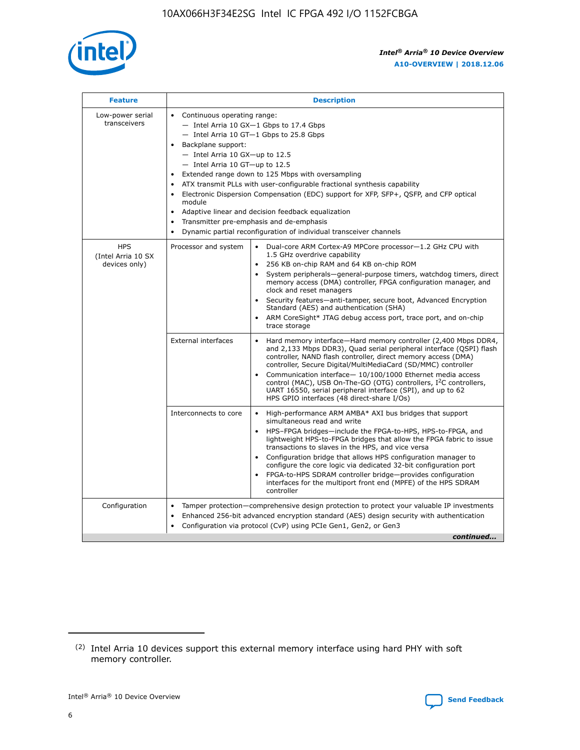

| <b>Feature</b>                                    | <b>Description</b>                                                                                                                                                                                                                                                                                                                                                                                                                                                                                                                                                                                                                           |  |  |  |  |  |  |  |
|---------------------------------------------------|----------------------------------------------------------------------------------------------------------------------------------------------------------------------------------------------------------------------------------------------------------------------------------------------------------------------------------------------------------------------------------------------------------------------------------------------------------------------------------------------------------------------------------------------------------------------------------------------------------------------------------------------|--|--|--|--|--|--|--|
| Low-power serial<br>transceivers                  | • Continuous operating range:<br>- Intel Arria 10 GX-1 Gbps to 17.4 Gbps<br>- Intel Arria 10 GT-1 Gbps to 25.8 Gbps<br>Backplane support:<br>$-$ Intel Arria 10 GX-up to 12.5<br>$-$ Intel Arria 10 GT-up to 12.5<br>Extended range down to 125 Mbps with oversampling<br>ATX transmit PLLs with user-configurable fractional synthesis capability<br>Electronic Dispersion Compensation (EDC) support for XFP, SFP+, QSFP, and CFP optical<br>module<br>• Adaptive linear and decision feedback equalization<br>Transmitter pre-emphasis and de-emphasis<br>$\bullet$<br>Dynamic partial reconfiguration of individual transceiver channels |  |  |  |  |  |  |  |
| <b>HPS</b><br>(Intel Arria 10 SX<br>devices only) | Dual-core ARM Cortex-A9 MPCore processor-1.2 GHz CPU with<br>Processor and system<br>$\bullet$<br>1.5 GHz overdrive capability<br>256 KB on-chip RAM and 64 KB on-chip ROM<br>System peripherals-general-purpose timers, watchdog timers, direct<br>memory access (DMA) controller, FPGA configuration manager, and<br>clock and reset managers<br>Security features-anti-tamper, secure boot, Advanced Encryption<br>$\bullet$<br>Standard (AES) and authentication (SHA)<br>ARM CoreSight* JTAG debug access port, trace port, and on-chip<br>trace storage                                                                                |  |  |  |  |  |  |  |
|                                                   | <b>External interfaces</b><br>Hard memory interface-Hard memory controller (2,400 Mbps DDR4,<br>$\bullet$<br>and 2,133 Mbps DDR3), Quad serial peripheral interface (QSPI) flash<br>controller, NAND flash controller, direct memory access (DMA)<br>controller, Secure Digital/MultiMediaCard (SD/MMC) controller<br>Communication interface-10/100/1000 Ethernet media access<br>$\bullet$<br>control (MAC), USB On-The-GO (OTG) controllers, I <sup>2</sup> C controllers,<br>UART 16550, serial peripheral interface (SPI), and up to 62<br>HPS GPIO interfaces (48 direct-share I/Os)                                                   |  |  |  |  |  |  |  |
|                                                   | High-performance ARM AMBA* AXI bus bridges that support<br>Interconnects to core<br>$\bullet$<br>simultaneous read and write<br>HPS-FPGA bridges-include the FPGA-to-HPS, HPS-to-FPGA, and<br>$\bullet$<br>lightweight HPS-to-FPGA bridges that allow the FPGA fabric to issue<br>transactions to slaves in the HPS, and vice versa<br>Configuration bridge that allows HPS configuration manager to<br>configure the core logic via dedicated 32-bit configuration port<br>FPGA-to-HPS SDRAM controller bridge-provides configuration<br>interfaces for the multiport front end (MPFE) of the HPS SDRAM<br>controller                       |  |  |  |  |  |  |  |
| Configuration                                     | Tamper protection—comprehensive design protection to protect your valuable IP investments<br>Enhanced 256-bit advanced encryption standard (AES) design security with authentication<br>٠<br>Configuration via protocol (CvP) using PCIe Gen1, Gen2, or Gen3<br>continued                                                                                                                                                                                                                                                                                                                                                                    |  |  |  |  |  |  |  |

<sup>(2)</sup> Intel Arria 10 devices support this external memory interface using hard PHY with soft memory controller.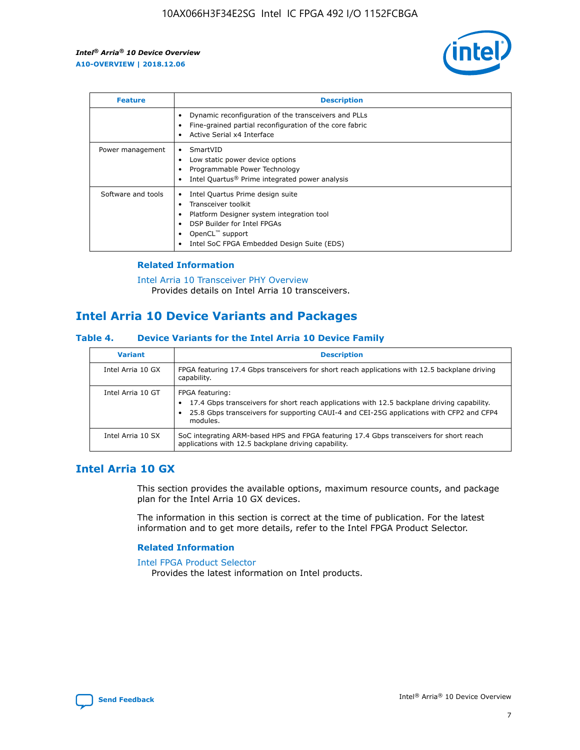

| <b>Feature</b>     | <b>Description</b>                                                                                                                                                                                                            |
|--------------------|-------------------------------------------------------------------------------------------------------------------------------------------------------------------------------------------------------------------------------|
|                    | Dynamic reconfiguration of the transceivers and PLLs<br>Fine-grained partial reconfiguration of the core fabric<br>Active Serial x4 Interface<br>$\bullet$                                                                    |
| Power management   | SmartVID<br>Low static power device options<br>Programmable Power Technology<br>Intel Quartus <sup>®</sup> Prime integrated power analysis                                                                                    |
| Software and tools | Intel Quartus Prime design suite<br>Transceiver toolkit<br>$\bullet$<br>Platform Designer system integration tool<br>DSP Builder for Intel FPGAs<br>OpenCL <sup>™</sup> support<br>Intel SoC FPGA Embedded Design Suite (EDS) |

### **Related Information**

#### [Intel Arria 10 Transceiver PHY Overview](https://www.intel.com/content/www/us/en/programmable/documentation/nik1398707230472.html#nik1398706768037) Provides details on Intel Arria 10 transceivers.

### **Intel Arria 10 Device Variants and Packages**

### **Table 4. Device Variants for the Intel Arria 10 Device Family**

| <b>Variant</b>    | <b>Description</b>                                                                                                                                                                                                     |
|-------------------|------------------------------------------------------------------------------------------------------------------------------------------------------------------------------------------------------------------------|
| Intel Arria 10 GX | FPGA featuring 17.4 Gbps transceivers for short reach applications with 12.5 backplane driving<br>capability.                                                                                                          |
| Intel Arria 10 GT | FPGA featuring:<br>17.4 Gbps transceivers for short reach applications with 12.5 backplane driving capability.<br>25.8 Gbps transceivers for supporting CAUI-4 and CEI-25G applications with CFP2 and CFP4<br>modules. |
| Intel Arria 10 SX | SoC integrating ARM-based HPS and FPGA featuring 17.4 Gbps transceivers for short reach<br>applications with 12.5 backplane driving capability.                                                                        |

### **Intel Arria 10 GX**

This section provides the available options, maximum resource counts, and package plan for the Intel Arria 10 GX devices.

The information in this section is correct at the time of publication. For the latest information and to get more details, refer to the Intel FPGA Product Selector.

### **Related Information**

#### [Intel FPGA Product Selector](http://www.altera.com/products/selector/psg-selector.html) Provides the latest information on Intel products.

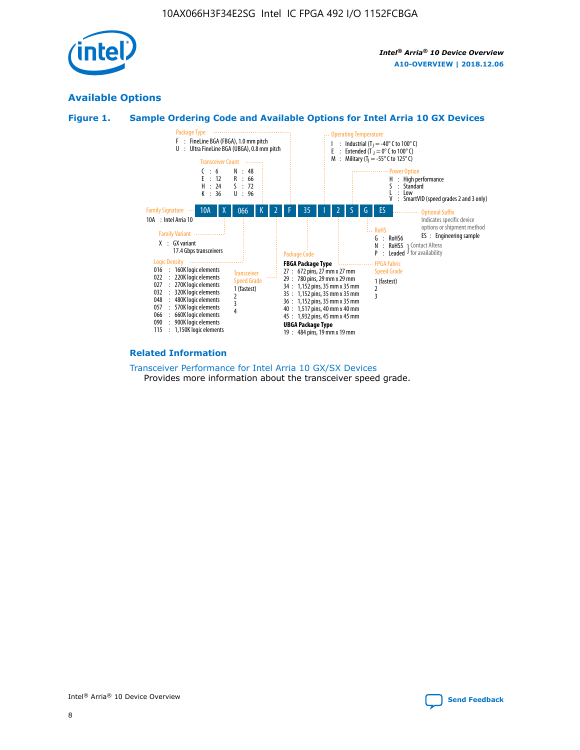

### **Available Options**

### **Figure 1. Sample Ordering Code and Available Options for Intel Arria 10 GX Devices**



#### **Related Information**

#### [Transceiver Performance for Intel Arria 10 GX/SX Devices](https://www.intel.com/content/www/us/en/programmable/documentation/mcn1413182292568.html#mcn1413213965502) Provides more information about the transceiver speed grade.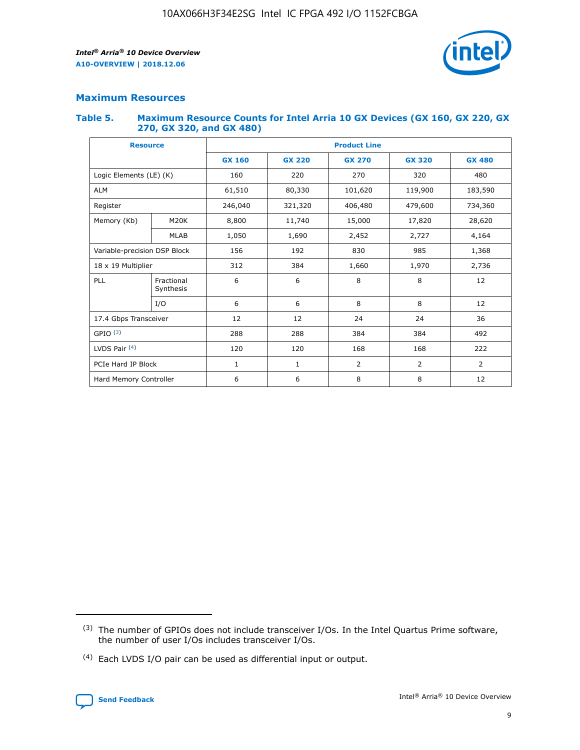

### **Maximum Resources**

### **Table 5. Maximum Resource Counts for Intel Arria 10 GX Devices (GX 160, GX 220, GX 270, GX 320, and GX 480)**

| <b>Resource</b>              |                         | <b>Product Line</b> |                                                 |                |                |                |  |  |  |
|------------------------------|-------------------------|---------------------|-------------------------------------------------|----------------|----------------|----------------|--|--|--|
|                              |                         | <b>GX 160</b>       | <b>GX 220</b><br><b>GX 270</b><br><b>GX 320</b> |                |                | <b>GX 480</b>  |  |  |  |
| Logic Elements (LE) (K)      |                         | 160                 | 220                                             | 270            | 320            | 480            |  |  |  |
| <b>ALM</b>                   |                         | 61,510              | 80,330                                          | 101,620        | 119,900        | 183,590        |  |  |  |
| Register                     |                         | 246,040             | 406,480<br>321,320                              |                | 479,600        | 734,360        |  |  |  |
| Memory (Kb)                  | M <sub>20</sub> K       | 8,800               | 11,740                                          | 15,000         | 17,820         | 28,620         |  |  |  |
|                              | <b>MLAB</b>             | 1,050               | 1,690<br>2,452<br>2,727                         |                |                | 4,164          |  |  |  |
| Variable-precision DSP Block |                         | 156                 | 192                                             | 830            | 985            | 1,368          |  |  |  |
| 18 x 19 Multiplier           |                         | 312                 | 384                                             | 1,970<br>1,660 |                | 2,736          |  |  |  |
| PLL                          | Fractional<br>Synthesis | 6                   | 6                                               | 8              | 8              | 12             |  |  |  |
|                              | I/O                     | 6                   | 6                                               | 8              | 8              | 12             |  |  |  |
| 17.4 Gbps Transceiver        |                         | 12                  | 12                                              | 24             | 24             | 36             |  |  |  |
| GPIO <sup>(3)</sup>          |                         | 288                 | 288                                             | 384            | 384            | 492            |  |  |  |
| LVDS Pair $(4)$              |                         | 120                 | 120                                             | 168            | 168            | 222            |  |  |  |
| PCIe Hard IP Block           |                         | 1                   | 1                                               | 2              | $\overline{2}$ | $\overline{2}$ |  |  |  |
| Hard Memory Controller       |                         | 6                   | 6                                               | 8              | 8              | 12             |  |  |  |

<sup>(4)</sup> Each LVDS I/O pair can be used as differential input or output.



<sup>(3)</sup> The number of GPIOs does not include transceiver I/Os. In the Intel Quartus Prime software, the number of user I/Os includes transceiver I/Os.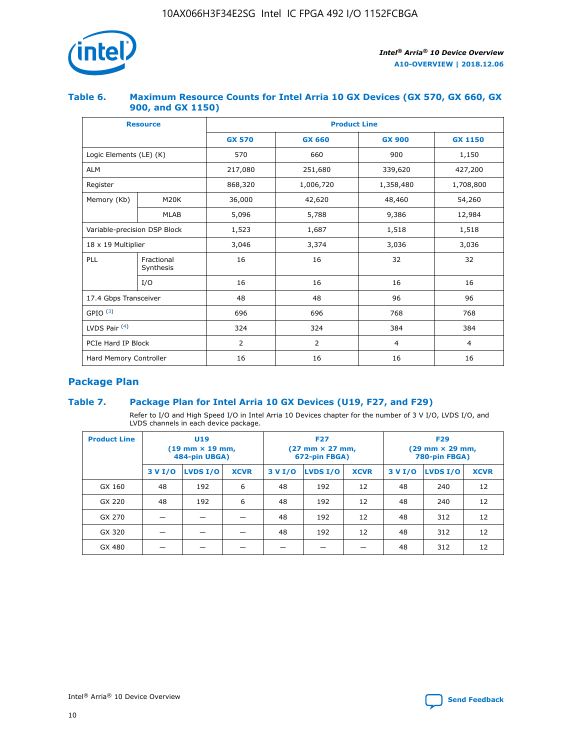

### **Table 6. Maximum Resource Counts for Intel Arria 10 GX Devices (GX 570, GX 660, GX 900, and GX 1150)**

|                              | <b>Resource</b>         | <b>Product Line</b> |                |                |                |  |  |  |
|------------------------------|-------------------------|---------------------|----------------|----------------|----------------|--|--|--|
|                              |                         | <b>GX 570</b>       | <b>GX 660</b>  | <b>GX 900</b>  | <b>GX 1150</b> |  |  |  |
| Logic Elements (LE) (K)      |                         | 570                 | 660            | 900            | 1,150          |  |  |  |
| <b>ALM</b>                   |                         | 217,080             | 251,680        | 339,620        | 427,200        |  |  |  |
| Register                     |                         | 868,320             | 1,006,720      |                | 1,708,800      |  |  |  |
| Memory (Kb)                  | <b>M20K</b>             | 36,000              | 42,620         | 48,460         | 54,260         |  |  |  |
|                              | <b>MLAB</b>             | 5,096               | 5,788<br>9,386 |                | 12,984         |  |  |  |
| Variable-precision DSP Block |                         | 1,523               | 1,687          | 1,518          | 1,518          |  |  |  |
| $18 \times 19$ Multiplier    |                         | 3,046               | 3,374          | 3,036          | 3,036          |  |  |  |
| PLL                          | Fractional<br>Synthesis | 16                  | 16             | 32             | 32             |  |  |  |
|                              | I/O                     | 16                  | 16             | 16             | 16             |  |  |  |
| 17.4 Gbps Transceiver        |                         | 48                  | 96<br>48       |                | 96             |  |  |  |
| GPIO <sup>(3)</sup>          |                         | 696                 | 696            | 768            | 768            |  |  |  |
| LVDS Pair $(4)$              |                         | 324                 | 324<br>384     |                | 384            |  |  |  |
| PCIe Hard IP Block           |                         | 2                   | 2              | $\overline{4}$ | $\overline{4}$ |  |  |  |
| Hard Memory Controller       |                         | 16                  | 16             | 16             | 16             |  |  |  |

### **Package Plan**

### **Table 7. Package Plan for Intel Arria 10 GX Devices (U19, F27, and F29)**

Refer to I/O and High Speed I/O in Intel Arria 10 Devices chapter for the number of 3 V I/O, LVDS I/O, and LVDS channels in each device package.

| <b>Product Line</b> | U <sub>19</sub><br>$(19 \text{ mm} \times 19 \text{ mm})$<br>484-pin UBGA) |          |             |         | <b>F27</b><br>(27 mm × 27 mm,<br>672-pin FBGA) |             | <b>F29</b><br>(29 mm × 29 mm,<br>780-pin FBGA) |          |             |  |
|---------------------|----------------------------------------------------------------------------|----------|-------------|---------|------------------------------------------------|-------------|------------------------------------------------|----------|-------------|--|
|                     | 3 V I/O                                                                    | LVDS I/O | <b>XCVR</b> | 3 V I/O | <b>LVDS I/O</b>                                | <b>XCVR</b> | 3 V I/O                                        | LVDS I/O | <b>XCVR</b> |  |
| GX 160              | 48                                                                         | 192      | 6           | 48      | 192                                            | 12          | 48                                             | 240      | 12          |  |
| GX 220              | 48                                                                         | 192      | 6           | 48      | 192                                            | 12          | 48                                             | 240      | 12          |  |
| GX 270              |                                                                            |          |             | 48      | 192                                            | 12          | 48                                             | 312      | 12          |  |
| GX 320              |                                                                            |          |             | 48      | 192                                            | 12          | 48                                             | 312      | 12          |  |
| GX 480              |                                                                            |          |             |         |                                                |             | 48                                             | 312      | 12          |  |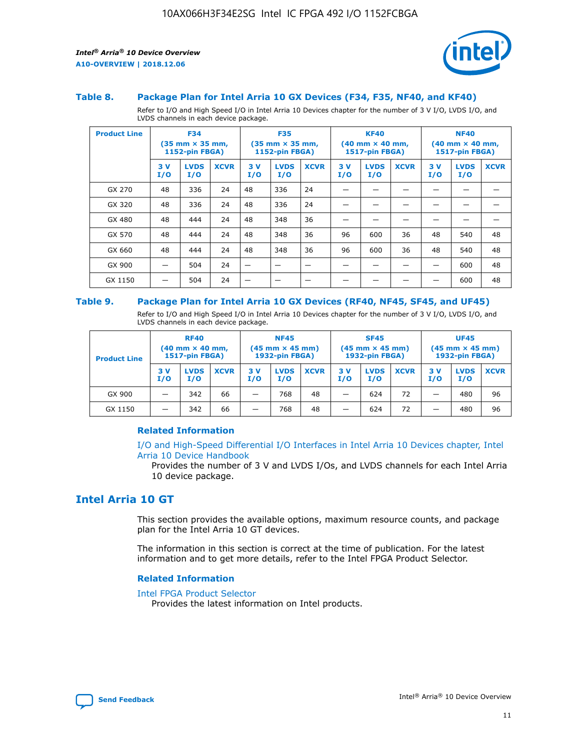

#### **Table 8. Package Plan for Intel Arria 10 GX Devices (F34, F35, NF40, and KF40)**

Refer to I/O and High Speed I/O in Intel Arria 10 Devices chapter for the number of 3 V I/O, LVDS I/O, and LVDS channels in each device package.

| <b>Product Line</b> | <b>F34</b><br>$(35 \text{ mm} \times 35 \text{ mm})$<br>1152-pin FBGA) |                    | <b>F35</b><br>$(35 \text{ mm} \times 35 \text{ mm})$<br><b>1152-pin FBGA)</b> |           | <b>KF40</b><br>$(40$ mm $\times$ 40 mm,<br>1517-pin FBGA) |             |           | <b>NF40</b><br>$(40$ mm $\times$ 40 mm,<br><b>1517-pin FBGA)</b> |             |            |                    |             |
|---------------------|------------------------------------------------------------------------|--------------------|-------------------------------------------------------------------------------|-----------|-----------------------------------------------------------|-------------|-----------|------------------------------------------------------------------|-------------|------------|--------------------|-------------|
|                     | 3V<br>I/O                                                              | <b>LVDS</b><br>I/O | <b>XCVR</b>                                                                   | 3V<br>I/O | <b>LVDS</b><br>I/O                                        | <b>XCVR</b> | 3V<br>I/O | <b>LVDS</b><br>I/O                                               | <b>XCVR</b> | 3 V<br>I/O | <b>LVDS</b><br>I/O | <b>XCVR</b> |
| GX 270              | 48                                                                     | 336                | 24                                                                            | 48        | 336                                                       | 24          |           |                                                                  |             |            |                    |             |
| GX 320              | 48                                                                     | 336                | 24                                                                            | 48        | 336                                                       | 24          |           |                                                                  |             |            |                    |             |
| GX 480              | 48                                                                     | 444                | 24                                                                            | 48        | 348                                                       | 36          |           |                                                                  |             |            |                    |             |
| GX 570              | 48                                                                     | 444                | 24                                                                            | 48        | 348                                                       | 36          | 96        | 600                                                              | 36          | 48         | 540                | 48          |
| GX 660              | 48                                                                     | 444                | 24                                                                            | 48        | 348                                                       | 36          | 96        | 600                                                              | 36          | 48         | 540                | 48          |
| GX 900              |                                                                        | 504                | 24                                                                            | -         |                                                           |             |           |                                                                  |             |            | 600                | 48          |
| GX 1150             |                                                                        | 504                | 24                                                                            |           |                                                           |             |           |                                                                  |             |            | 600                | 48          |

#### **Table 9. Package Plan for Intel Arria 10 GX Devices (RF40, NF45, SF45, and UF45)**

Refer to I/O and High Speed I/O in Intel Arria 10 Devices chapter for the number of 3 V I/O, LVDS I/O, and LVDS channels in each device package.

| <b>Product Line</b> | <b>RF40</b><br>$(40$ mm $\times$ 40 mm,<br>1517-pin FBGA) |                    | <b>NF45</b><br>$(45 \text{ mm} \times 45 \text{ mm})$<br><b>1932-pin FBGA)</b> |            |                    | <b>SF45</b><br>$(45 \text{ mm} \times 45 \text{ mm})$<br><b>1932-pin FBGA)</b> |            |                    | <b>UF45</b><br>$(45 \text{ mm} \times 45 \text{ mm})$<br><b>1932-pin FBGA)</b> |           |                    |             |
|---------------------|-----------------------------------------------------------|--------------------|--------------------------------------------------------------------------------|------------|--------------------|--------------------------------------------------------------------------------|------------|--------------------|--------------------------------------------------------------------------------|-----------|--------------------|-------------|
|                     | 3V<br>I/O                                                 | <b>LVDS</b><br>I/O | <b>XCVR</b>                                                                    | 3 V<br>I/O | <b>LVDS</b><br>I/O | <b>XCVR</b>                                                                    | 3 V<br>I/O | <b>LVDS</b><br>I/O | <b>XCVR</b>                                                                    | 3V<br>I/O | <b>LVDS</b><br>I/O | <b>XCVR</b> |
| GX 900              |                                                           | 342                | 66                                                                             | _          | 768                | 48                                                                             |            | 624                | 72                                                                             |           | 480                | 96          |
| GX 1150             |                                                           | 342                | 66                                                                             | _          | 768                | 48                                                                             |            | 624                | 72                                                                             |           | 480                | 96          |

### **Related Information**

[I/O and High-Speed Differential I/O Interfaces in Intel Arria 10 Devices chapter, Intel](https://www.intel.com/content/www/us/en/programmable/documentation/sam1403482614086.html#sam1403482030321) [Arria 10 Device Handbook](https://www.intel.com/content/www/us/en/programmable/documentation/sam1403482614086.html#sam1403482030321)

Provides the number of 3 V and LVDS I/Os, and LVDS channels for each Intel Arria 10 device package.

### **Intel Arria 10 GT**

This section provides the available options, maximum resource counts, and package plan for the Intel Arria 10 GT devices.

The information in this section is correct at the time of publication. For the latest information and to get more details, refer to the Intel FPGA Product Selector.

#### **Related Information**

#### [Intel FPGA Product Selector](http://www.altera.com/products/selector/psg-selector.html)

Provides the latest information on Intel products.

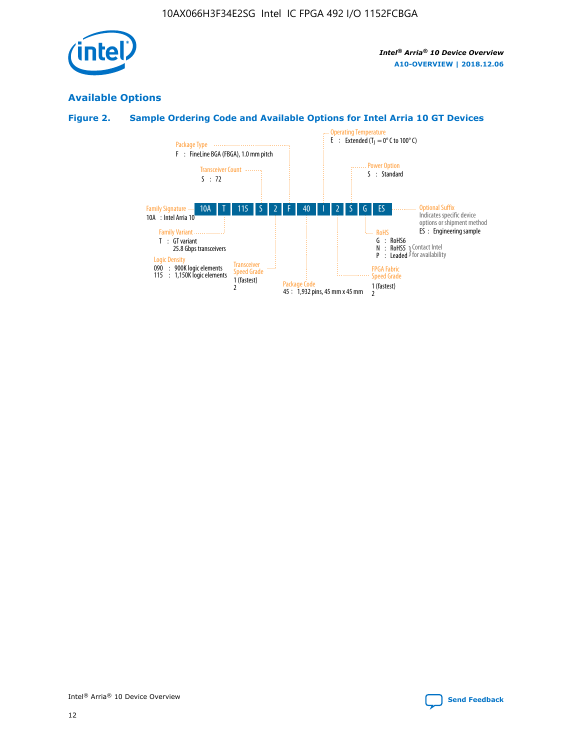

### **Available Options**

### **Figure 2. Sample Ordering Code and Available Options for Intel Arria 10 GT Devices**

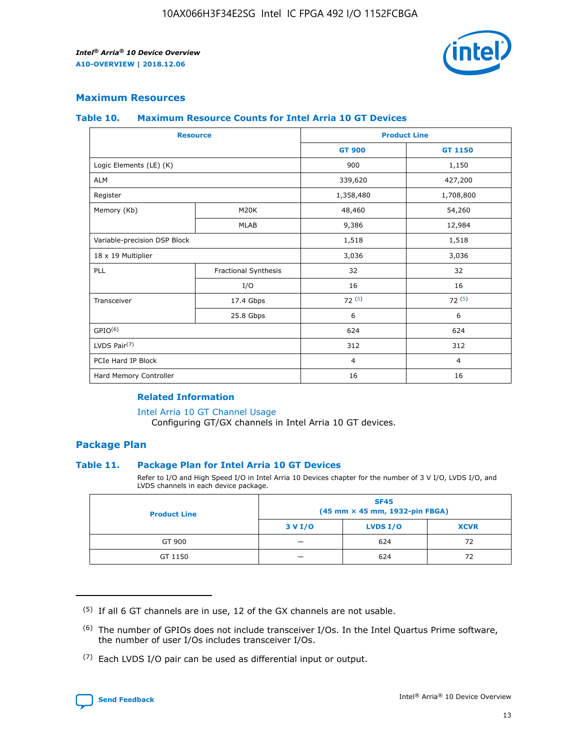

### **Maximum Resources**

#### **Table 10. Maximum Resource Counts for Intel Arria 10 GT Devices**

| <b>Resource</b>              |                      |                | <b>Product Line</b> |  |
|------------------------------|----------------------|----------------|---------------------|--|
|                              |                      | <b>GT 900</b>  | <b>GT 1150</b>      |  |
| Logic Elements (LE) (K)      |                      | 900            | 1,150               |  |
| <b>ALM</b>                   |                      | 339,620        | 427,200             |  |
| Register                     |                      | 1,358,480      | 1,708,800           |  |
| Memory (Kb)                  | M20K                 | 48,460         | 54,260              |  |
|                              | <b>MLAB</b>          | 9,386          | 12,984              |  |
| Variable-precision DSP Block |                      | 1,518          | 1,518               |  |
| 18 x 19 Multiplier           |                      | 3,036          | 3,036               |  |
| PLL                          | Fractional Synthesis | 32             | 32                  |  |
|                              | I/O                  | 16             | 16                  |  |
| Transceiver                  | 17.4 Gbps            | 72(5)          | 72(5)               |  |
|                              | 25.8 Gbps            | 6              | 6                   |  |
| GPIO <sup>(6)</sup>          |                      | 624            | 624                 |  |
| LVDS Pair $(7)$              |                      | 312            | 312                 |  |
| PCIe Hard IP Block           |                      | $\overline{4}$ | $\overline{4}$      |  |
| Hard Memory Controller       |                      | 16             | 16                  |  |

### **Related Information**

#### [Intel Arria 10 GT Channel Usage](https://www.intel.com/content/www/us/en/programmable/documentation/nik1398707230472.html#nik1398707008178)

Configuring GT/GX channels in Intel Arria 10 GT devices.

### **Package Plan**

### **Table 11. Package Plan for Intel Arria 10 GT Devices**

Refer to I/O and High Speed I/O in Intel Arria 10 Devices chapter for the number of 3 V I/O, LVDS I/O, and LVDS channels in each device package.

| <b>Product Line</b> | <b>SF45</b><br>(45 mm × 45 mm, 1932-pin FBGA) |                 |             |  |  |  |
|---------------------|-----------------------------------------------|-----------------|-------------|--|--|--|
|                     | 3 V I/O                                       | <b>LVDS I/O</b> | <b>XCVR</b> |  |  |  |
| GT 900              |                                               | 624             | 72          |  |  |  |
| GT 1150             |                                               | 624             | 72          |  |  |  |

<sup>(7)</sup> Each LVDS I/O pair can be used as differential input or output.



 $(5)$  If all 6 GT channels are in use, 12 of the GX channels are not usable.

<sup>(6)</sup> The number of GPIOs does not include transceiver I/Os. In the Intel Quartus Prime software, the number of user I/Os includes transceiver I/Os.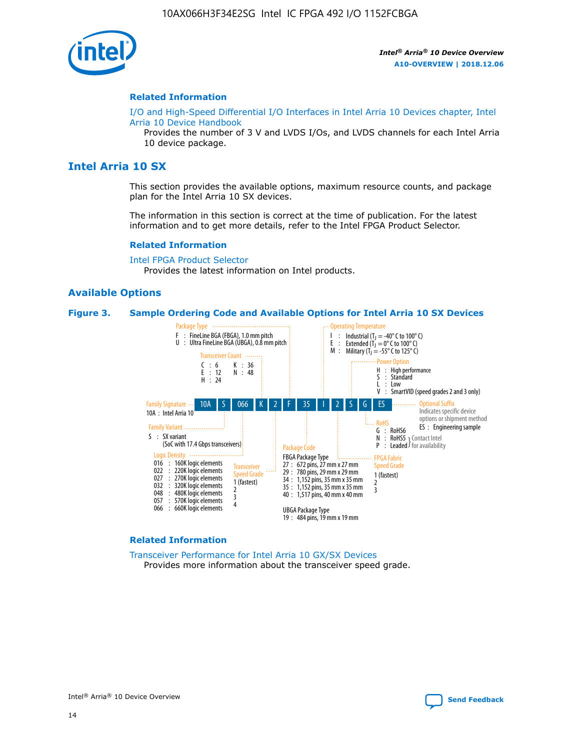

### **Related Information**

[I/O and High-Speed Differential I/O Interfaces in Intel Arria 10 Devices chapter, Intel](https://www.intel.com/content/www/us/en/programmable/documentation/sam1403482614086.html#sam1403482030321) [Arria 10 Device Handbook](https://www.intel.com/content/www/us/en/programmable/documentation/sam1403482614086.html#sam1403482030321)

Provides the number of 3 V and LVDS I/Os, and LVDS channels for each Intel Arria 10 device package.

### **Intel Arria 10 SX**

This section provides the available options, maximum resource counts, and package plan for the Intel Arria 10 SX devices.

The information in this section is correct at the time of publication. For the latest information and to get more details, refer to the Intel FPGA Product Selector.

#### **Related Information**

[Intel FPGA Product Selector](http://www.altera.com/products/selector/psg-selector.html) Provides the latest information on Intel products.

### **Available Options**

#### **Figure 3. Sample Ordering Code and Available Options for Intel Arria 10 SX Devices**



#### **Related Information**

[Transceiver Performance for Intel Arria 10 GX/SX Devices](https://www.intel.com/content/www/us/en/programmable/documentation/mcn1413182292568.html#mcn1413213965502) Provides more information about the transceiver speed grade.

Intel® Arria® 10 Device Overview **[Send Feedback](mailto:FPGAtechdocfeedback@intel.com?subject=Feedback%20on%20Intel%20Arria%2010%20Device%20Overview%20(A10-OVERVIEW%202018.12.06)&body=We%20appreciate%20your%20feedback.%20In%20your%20comments,%20also%20specify%20the%20page%20number%20or%20paragraph.%20Thank%20you.)**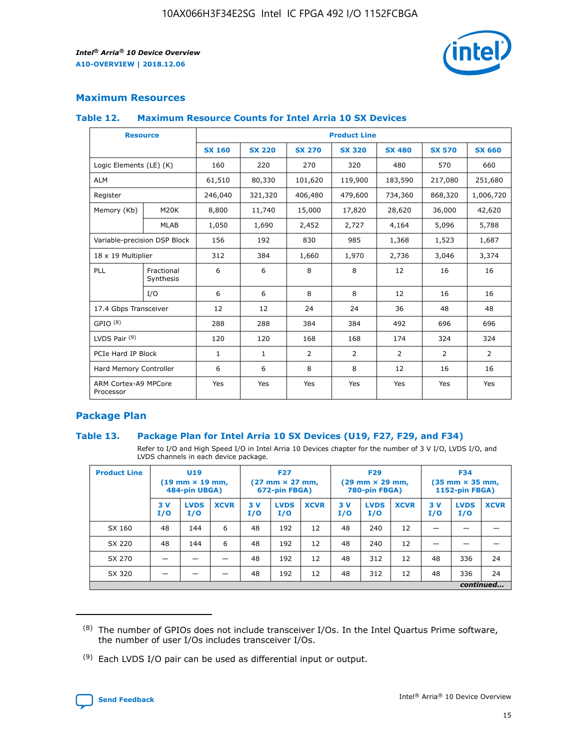

### **Maximum Resources**

#### **Table 12. Maximum Resource Counts for Intel Arria 10 SX Devices**

| <b>Resource</b>                   |                         | <b>Product Line</b> |               |                |                |                |                |                |  |  |
|-----------------------------------|-------------------------|---------------------|---------------|----------------|----------------|----------------|----------------|----------------|--|--|
|                                   |                         | <b>SX 160</b>       | <b>SX 220</b> | <b>SX 270</b>  | <b>SX 320</b>  | <b>SX 480</b>  | <b>SX 570</b>  | <b>SX 660</b>  |  |  |
| Logic Elements (LE) (K)           |                         | 160                 | 220           | 270            | 320            | 480            | 570            | 660            |  |  |
| <b>ALM</b>                        |                         | 61,510              | 80,330        | 101,620        | 119,900        | 183,590        | 217,080        | 251,680        |  |  |
| Register                          |                         | 246,040             | 321,320       | 406,480        | 479,600        | 734,360        | 868,320        | 1,006,720      |  |  |
| Memory (Kb)                       | M <sub>20</sub> K       | 8,800               | 11,740        | 15,000         | 17,820         | 28,620         | 36,000         | 42,620         |  |  |
|                                   | <b>MLAB</b>             | 1,050               | 1,690         | 2,452          | 2,727          | 4,164          | 5,096          | 5,788          |  |  |
| Variable-precision DSP Block      |                         | 156                 | 192           | 830            | 985            | 1,368          | 1,523          | 1,687          |  |  |
| 18 x 19 Multiplier                |                         | 312                 | 384           | 1,660          | 1,970          | 2,736          | 3,046          | 3,374          |  |  |
| PLL                               | Fractional<br>Synthesis | 6                   | 6             | 8              | 8              | 12             | 16             | 16             |  |  |
|                                   | I/O                     | 6                   | 6             | 8              | 8              | 12             | 16             | 16             |  |  |
| 17.4 Gbps Transceiver             |                         | 12                  | 12            | 24             | 24             | 36             | 48             | 48             |  |  |
| GPIO <sup>(8)</sup>               |                         | 288                 | 288           | 384            | 384            | 492            | 696            | 696            |  |  |
| LVDS Pair $(9)$                   |                         | 120                 | 120           | 168            | 168            | 174            | 324            | 324            |  |  |
| PCIe Hard IP Block                |                         | $\mathbf{1}$        | $\mathbf{1}$  | $\overline{2}$ | $\overline{2}$ | $\overline{2}$ | $\overline{2}$ | $\overline{2}$ |  |  |
| Hard Memory Controller            |                         | 6                   | 6             | 8              | 8              | 12             | 16             | 16             |  |  |
| ARM Cortex-A9 MPCore<br>Processor |                         | Yes                 | Yes           | Yes            | Yes            | Yes            | Yes            | <b>Yes</b>     |  |  |

### **Package Plan**

### **Table 13. Package Plan for Intel Arria 10 SX Devices (U19, F27, F29, and F34)**

Refer to I/O and High Speed I/O in Intel Arria 10 Devices chapter for the number of 3 V I/O, LVDS I/O, and LVDS channels in each device package.

| <b>Product Line</b> | U <sub>19</sub><br>$(19 \text{ mm} \times 19 \text{ mm})$<br>484-pin UBGA) |                    | <b>F27</b><br>$(27 \text{ mm} \times 27 \text{ mm})$<br>672-pin FBGA) |           | <b>F29</b><br>$(29 \text{ mm} \times 29 \text{ mm})$<br>780-pin FBGA) |             |            | <b>F34</b><br>$(35 \text{ mm} \times 35 \text{ mm})$<br><b>1152-pin FBGA)</b> |             |           |                    |             |
|---------------------|----------------------------------------------------------------------------|--------------------|-----------------------------------------------------------------------|-----------|-----------------------------------------------------------------------|-------------|------------|-------------------------------------------------------------------------------|-------------|-----------|--------------------|-------------|
|                     | 3V<br>I/O                                                                  | <b>LVDS</b><br>I/O | <b>XCVR</b>                                                           | 3V<br>I/O | <b>LVDS</b><br>I/O                                                    | <b>XCVR</b> | 3 V<br>I/O | <b>LVDS</b><br>I/O                                                            | <b>XCVR</b> | 3V<br>I/O | <b>LVDS</b><br>I/O | <b>XCVR</b> |
| SX 160              | 48                                                                         | 144                | 6                                                                     | 48        | 192                                                                   | 12          | 48         | 240                                                                           | 12          | –         |                    |             |
| SX 220              | 48                                                                         | 144                | 6                                                                     | 48        | 192                                                                   | 12          | 48         | 240                                                                           | 12          |           |                    |             |
| SX 270              |                                                                            |                    |                                                                       | 48        | 192                                                                   | 12          | 48         | 312                                                                           | 12          | 48        | 336                | 24          |
| SX 320              |                                                                            |                    |                                                                       | 48        | 192                                                                   | 12          | 48         | 312                                                                           | 12          | 48        | 336                | 24          |
|                     | continued                                                                  |                    |                                                                       |           |                                                                       |             |            |                                                                               |             |           |                    |             |

 $(8)$  The number of GPIOs does not include transceiver I/Os. In the Intel Quartus Prime software, the number of user I/Os includes transceiver I/Os.

 $(9)$  Each LVDS I/O pair can be used as differential input or output.

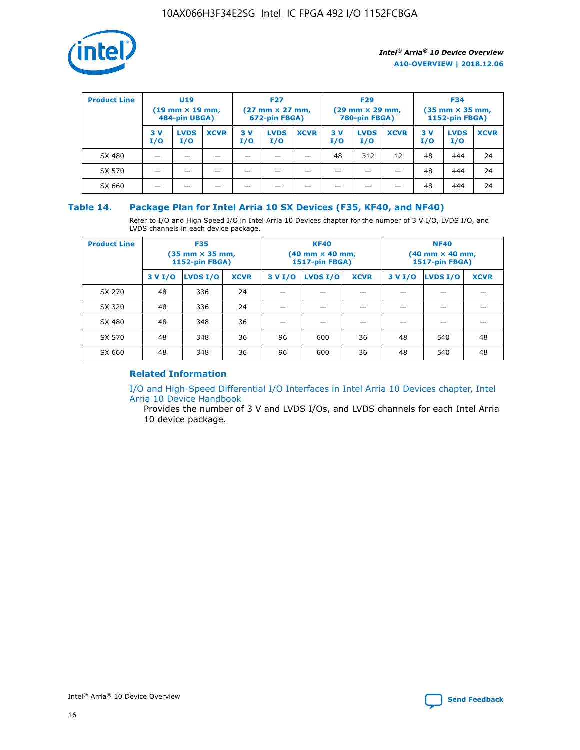

| <b>Product Line</b> | U <sub>19</sub><br>$(19 \text{ mm} \times 19 \text{ mm})$<br>484-pin UBGA) |                    | <b>F27</b><br>$(27 \text{ mm} \times 27 \text{ mm})$<br>672-pin FBGA) |           |                    | <b>F29</b><br>$(29 \text{ mm} \times 29 \text{ mm})$<br>780-pin FBGA) |           |                    | <b>F34</b><br>$(35$ mm $\times$ 35 mm,<br><b>1152-pin FBGA)</b> |           |                    |             |
|---------------------|----------------------------------------------------------------------------|--------------------|-----------------------------------------------------------------------|-----------|--------------------|-----------------------------------------------------------------------|-----------|--------------------|-----------------------------------------------------------------|-----------|--------------------|-------------|
|                     | 3V<br>I/O                                                                  | <b>LVDS</b><br>I/O | <b>XCVR</b>                                                           | 3V<br>I/O | <b>LVDS</b><br>I/O | <b>XCVR</b>                                                           | 3V<br>I/O | <b>LVDS</b><br>I/O | <b>XCVR</b>                                                     | 3V<br>I/O | <b>LVDS</b><br>I/O | <b>XCVR</b> |
| SX 480              |                                                                            |                    |                                                                       |           |                    |                                                                       | 48        | 312                | 12                                                              | 48        | 444                | 24          |
| SX 570              |                                                                            |                    |                                                                       |           |                    |                                                                       |           |                    |                                                                 | 48        | 444                | 24          |
| SX 660              |                                                                            |                    |                                                                       |           |                    |                                                                       |           |                    |                                                                 | 48        | 444                | 24          |

### **Table 14. Package Plan for Intel Arria 10 SX Devices (F35, KF40, and NF40)**

Refer to I/O and High Speed I/O in Intel Arria 10 Devices chapter for the number of 3 V I/O, LVDS I/O, and LVDS channels in each device package.

| <b>Product Line</b> | <b>F35</b><br>$(35 \text{ mm} \times 35 \text{ mm})$<br><b>1152-pin FBGA)</b> |          |             |                                           | <b>KF40</b><br>(40 mm × 40 mm,<br>1517-pin FBGA) |    | <b>NF40</b><br>$(40 \text{ mm} \times 40 \text{ mm})$<br>1517-pin FBGA) |          |             |  |
|---------------------|-------------------------------------------------------------------------------|----------|-------------|-------------------------------------------|--------------------------------------------------|----|-------------------------------------------------------------------------|----------|-------------|--|
|                     | 3 V I/O                                                                       | LVDS I/O | <b>XCVR</b> | <b>LVDS I/O</b><br><b>XCVR</b><br>3 V I/O |                                                  |    | 3 V I/O                                                                 | LVDS I/O | <b>XCVR</b> |  |
| SX 270              | 48                                                                            | 336      | 24          |                                           |                                                  |    |                                                                         |          |             |  |
| SX 320              | 48                                                                            | 336      | 24          |                                           |                                                  |    |                                                                         |          |             |  |
| SX 480              | 48                                                                            | 348      | 36          |                                           |                                                  |    |                                                                         |          |             |  |
| SX 570              | 48                                                                            | 348      | 36          | 96<br>36<br>600                           |                                                  | 48 | 540                                                                     | 48       |             |  |
| SX 660              | 48                                                                            | 348      | 36          | 96                                        | 600                                              | 36 | 48                                                                      | 540      | 48          |  |

### **Related Information**

[I/O and High-Speed Differential I/O Interfaces in Intel Arria 10 Devices chapter, Intel](https://www.intel.com/content/www/us/en/programmable/documentation/sam1403482614086.html#sam1403482030321) [Arria 10 Device Handbook](https://www.intel.com/content/www/us/en/programmable/documentation/sam1403482614086.html#sam1403482030321)

Provides the number of 3 V and LVDS I/Os, and LVDS channels for each Intel Arria 10 device package.

Intel<sup>®</sup> Arria<sup>®</sup> 10 Device Overview **[Send Feedback](mailto:FPGAtechdocfeedback@intel.com?subject=Feedback%20on%20Intel%20Arria%2010%20Device%20Overview%20(A10-OVERVIEW%202018.12.06)&body=We%20appreciate%20your%20feedback.%20In%20your%20comments,%20also%20specify%20the%20page%20number%20or%20paragraph.%20Thank%20you.)** Send Feedback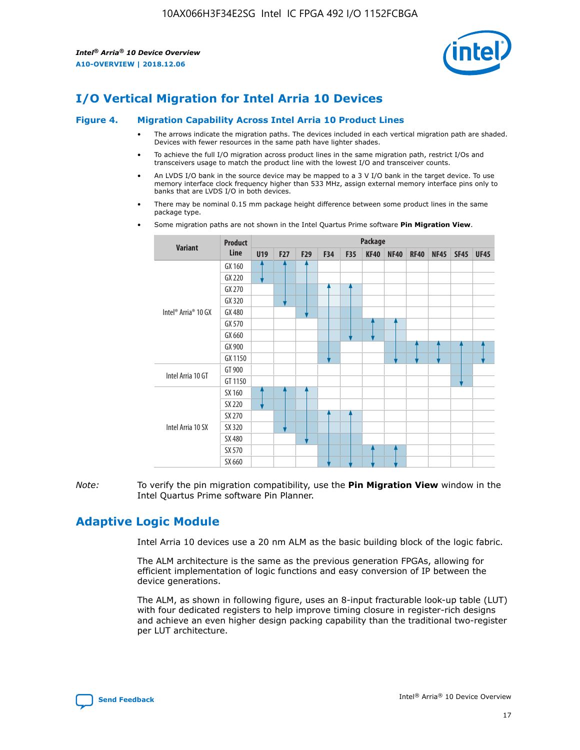

### **I/O Vertical Migration for Intel Arria 10 Devices**

#### **Figure 4. Migration Capability Across Intel Arria 10 Product Lines**

- The arrows indicate the migration paths. The devices included in each vertical migration path are shaded. Devices with fewer resources in the same path have lighter shades.
- To achieve the full I/O migration across product lines in the same migration path, restrict I/Os and transceivers usage to match the product line with the lowest I/O and transceiver counts.
- An LVDS I/O bank in the source device may be mapped to a 3 V I/O bank in the target device. To use memory interface clock frequency higher than 533 MHz, assign external memory interface pins only to banks that are LVDS I/O in both devices.
- There may be nominal 0.15 mm package height difference between some product lines in the same package type.
	- **Variant Product Line Package U19 F27 F29 F34 F35 KF40 NF40 RF40 NF45 SF45 UF45** Intel® Arria® 10 GX GX 160 GX 220 GX 270 GX 320 GX 480 GX 570 GX 660 GX 900 GX 1150 Intel Arria 10 GT GT 900 GT 1150 Intel Arria 10 SX SX 160 SX 220 SX 270 SX 320 SX 480 SX 570 SX 660
- Some migration paths are not shown in the Intel Quartus Prime software **Pin Migration View**.

*Note:* To verify the pin migration compatibility, use the **Pin Migration View** window in the Intel Quartus Prime software Pin Planner.

### **Adaptive Logic Module**

Intel Arria 10 devices use a 20 nm ALM as the basic building block of the logic fabric.

The ALM architecture is the same as the previous generation FPGAs, allowing for efficient implementation of logic functions and easy conversion of IP between the device generations.

The ALM, as shown in following figure, uses an 8-input fracturable look-up table (LUT) with four dedicated registers to help improve timing closure in register-rich designs and achieve an even higher design packing capability than the traditional two-register per LUT architecture.

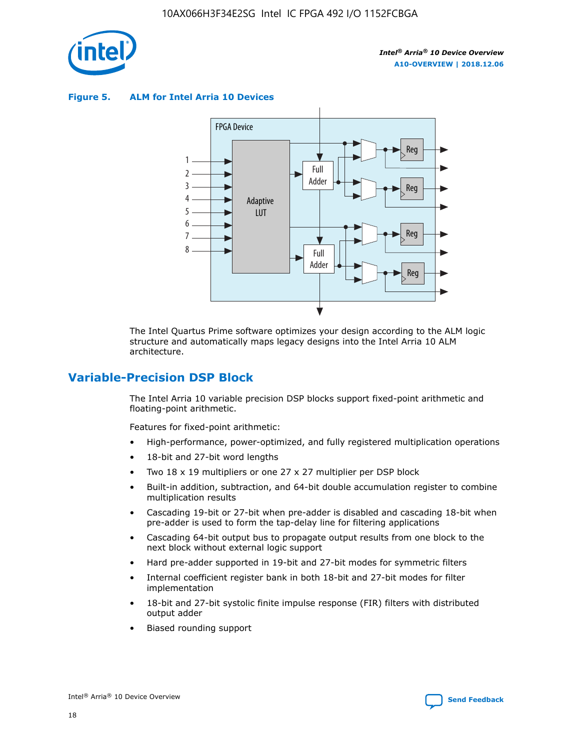

**Figure 5. ALM for Intel Arria 10 Devices**



The Intel Quartus Prime software optimizes your design according to the ALM logic structure and automatically maps legacy designs into the Intel Arria 10 ALM architecture.

### **Variable-Precision DSP Block**

The Intel Arria 10 variable precision DSP blocks support fixed-point arithmetic and floating-point arithmetic.

Features for fixed-point arithmetic:

- High-performance, power-optimized, and fully registered multiplication operations
- 18-bit and 27-bit word lengths
- Two 18 x 19 multipliers or one 27 x 27 multiplier per DSP block
- Built-in addition, subtraction, and 64-bit double accumulation register to combine multiplication results
- Cascading 19-bit or 27-bit when pre-adder is disabled and cascading 18-bit when pre-adder is used to form the tap-delay line for filtering applications
- Cascading 64-bit output bus to propagate output results from one block to the next block without external logic support
- Hard pre-adder supported in 19-bit and 27-bit modes for symmetric filters
- Internal coefficient register bank in both 18-bit and 27-bit modes for filter implementation
- 18-bit and 27-bit systolic finite impulse response (FIR) filters with distributed output adder
- Biased rounding support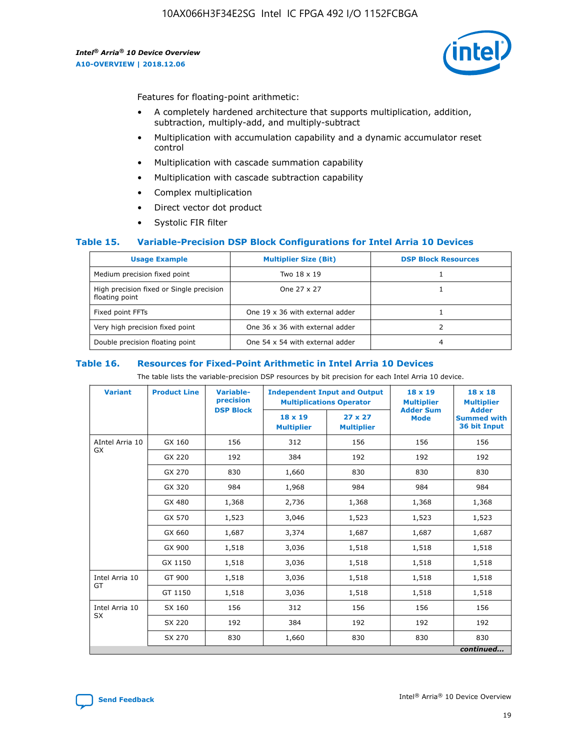

Features for floating-point arithmetic:

- A completely hardened architecture that supports multiplication, addition, subtraction, multiply-add, and multiply-subtract
- Multiplication with accumulation capability and a dynamic accumulator reset control
- Multiplication with cascade summation capability
- Multiplication with cascade subtraction capability
- Complex multiplication
- Direct vector dot product
- Systolic FIR filter

### **Table 15. Variable-Precision DSP Block Configurations for Intel Arria 10 Devices**

| <b>Usage Example</b>                                       | <b>Multiplier Size (Bit)</b>    | <b>DSP Block Resources</b> |
|------------------------------------------------------------|---------------------------------|----------------------------|
| Medium precision fixed point                               | Two 18 x 19                     |                            |
| High precision fixed or Single precision<br>floating point | One 27 x 27                     |                            |
| Fixed point FFTs                                           | One 19 x 36 with external adder |                            |
| Very high precision fixed point                            | One 36 x 36 with external adder |                            |
| Double precision floating point                            | One 54 x 54 with external adder | 4                          |

#### **Table 16. Resources for Fixed-Point Arithmetic in Intel Arria 10 Devices**

The table lists the variable-precision DSP resources by bit precision for each Intel Arria 10 device.

| <b>Variant</b>  | <b>Product Line</b> | <b>Variable-</b><br>precision<br><b>DSP Block</b> | <b>Independent Input and Output</b><br><b>Multiplications Operator</b> |                                     | 18 x 19<br><b>Multiplier</b><br><b>Adder Sum</b> | $18 \times 18$<br><b>Multiplier</b><br><b>Adder</b> |
|-----------------|---------------------|---------------------------------------------------|------------------------------------------------------------------------|-------------------------------------|--------------------------------------------------|-----------------------------------------------------|
|                 |                     |                                                   | 18 x 19<br><b>Multiplier</b>                                           | $27 \times 27$<br><b>Multiplier</b> | <b>Mode</b>                                      | <b>Summed with</b><br>36 bit Input                  |
| AIntel Arria 10 | GX 160              | 156                                               | 312                                                                    | 156                                 | 156                                              | 156                                                 |
| GX              | GX 220              | 192                                               | 384                                                                    | 192                                 | 192                                              | 192                                                 |
|                 | GX 270              | 830                                               | 1,660                                                                  | 830                                 | 830                                              | 830                                                 |
|                 | GX 320              | 984                                               | 1,968                                                                  | 984                                 | 984                                              | 984                                                 |
|                 | GX 480              | 1,368                                             | 2,736                                                                  | 1,368                               | 1,368                                            | 1,368                                               |
|                 | GX 570              | 1,523                                             | 3,046                                                                  | 1,523                               | 1,523                                            | 1,523                                               |
|                 | GX 660              | 1,687                                             | 3,374                                                                  | 1,687                               | 1,687                                            | 1,687                                               |
|                 | GX 900              | 1,518                                             | 3,036                                                                  | 1,518                               | 1,518                                            | 1,518                                               |
|                 | GX 1150             | 1,518                                             | 3,036                                                                  | 1,518                               | 1,518                                            | 1,518                                               |
| Intel Arria 10  | GT 900              | 1,518                                             | 3,036                                                                  | 1,518                               | 1,518                                            | 1,518                                               |
| GT              | GT 1150             | 1,518                                             | 3,036                                                                  | 1,518                               | 1,518                                            | 1,518                                               |
| Intel Arria 10  | SX 160              | 156                                               | 312                                                                    | 156                                 | 156                                              | 156                                                 |
| <b>SX</b>       | SX 220<br>192       |                                                   | 384                                                                    | 192                                 | 192                                              | 192                                                 |
|                 | SX 270              | 830                                               | 1,660                                                                  | 830                                 | 830                                              | 830                                                 |
|                 |                     |                                                   |                                                                        |                                     |                                                  | continued                                           |

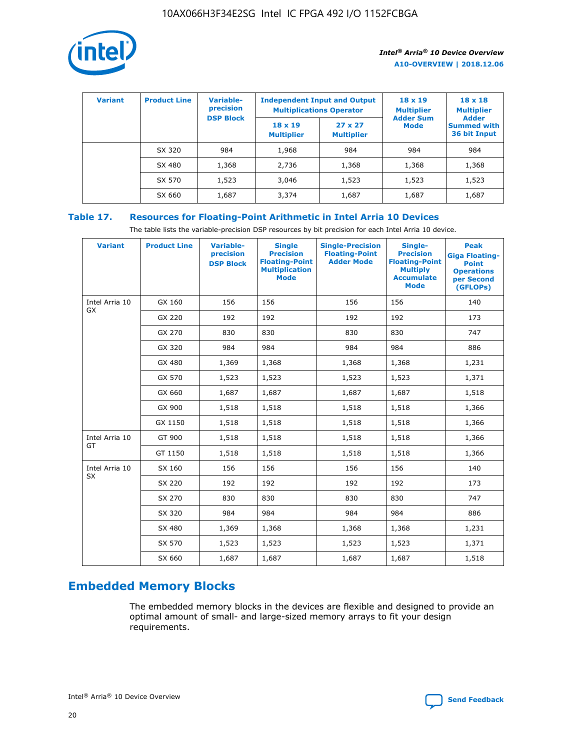

| <b>Variant</b> | <b>Product Line</b> | <b>Variable-</b><br>precision | <b>Multiplications Operator</b>     | <b>Independent Input and Output</b> | $18 \times 19$<br><b>Multiplier</b> | $18 \times 18$<br><b>Multiplier</b><br><b>Adder</b> |  |
|----------------|---------------------|-------------------------------|-------------------------------------|-------------------------------------|-------------------------------------|-----------------------------------------------------|--|
|                |                     | <b>DSP Block</b>              | $18 \times 19$<br><b>Multiplier</b> | $27 \times 27$<br><b>Multiplier</b> | <b>Adder Sum</b><br><b>Mode</b>     | <b>Summed with</b><br>36 bit Input                  |  |
|                | SX 320              | 984                           | 1,968                               | 984                                 | 984                                 | 984                                                 |  |
|                | SX 480              | 1,368                         | 2,736                               | 1,368                               | 1,368                               | 1,368                                               |  |
|                | SX 570              | 1,523                         | 3,046                               | 1,523                               | 1,523                               | 1,523                                               |  |
|                | SX 660              | 1,687                         | 3,374                               | 1,687                               | 1,687                               | 1,687                                               |  |

### **Table 17. Resources for Floating-Point Arithmetic in Intel Arria 10 Devices**

The table lists the variable-precision DSP resources by bit precision for each Intel Arria 10 device.

| <b>Variant</b> | <b>Product Line</b> | <b>Variable-</b><br>precision<br><b>DSP Block</b> | <b>Single</b><br><b>Precision</b><br><b>Floating-Point</b><br><b>Multiplication</b><br><b>Mode</b> | <b>Single-Precision</b><br><b>Floating-Point</b><br><b>Adder Mode</b> | Single-<br><b>Precision</b><br><b>Floating-Point</b><br><b>Multiply</b><br><b>Accumulate</b><br><b>Mode</b> | <b>Peak</b><br><b>Giga Floating-</b><br><b>Point</b><br><b>Operations</b><br>per Second<br>(GFLOPs) |
|----------------|---------------------|---------------------------------------------------|----------------------------------------------------------------------------------------------------|-----------------------------------------------------------------------|-------------------------------------------------------------------------------------------------------------|-----------------------------------------------------------------------------------------------------|
| Intel Arria 10 | GX 160              | 156                                               | 156                                                                                                | 156                                                                   | 156                                                                                                         | 140                                                                                                 |
| GX             | GX 220              | 192                                               | 192                                                                                                | 192                                                                   | 192                                                                                                         | 173                                                                                                 |
|                | GX 270              | 830                                               | 830                                                                                                | 830                                                                   | 830                                                                                                         | 747                                                                                                 |
|                | GX 320              | 984                                               | 984                                                                                                | 984                                                                   | 984                                                                                                         | 886                                                                                                 |
|                | GX 480              | 1,369                                             | 1,368                                                                                              | 1,368                                                                 | 1,368                                                                                                       | 1,231                                                                                               |
|                | GX 570              | 1,523                                             | 1,523                                                                                              | 1,523                                                                 | 1,523                                                                                                       | 1,371                                                                                               |
|                | GX 660              | 1,687                                             | 1,687                                                                                              | 1,687                                                                 | 1,687                                                                                                       | 1,518                                                                                               |
|                | GX 900              | 1,518                                             | 1,518                                                                                              | 1,518                                                                 | 1,518                                                                                                       | 1,366                                                                                               |
|                | GX 1150             | 1,518                                             | 1,518                                                                                              | 1,518                                                                 | 1,518                                                                                                       | 1,366                                                                                               |
| Intel Arria 10 | GT 900              | 1,518                                             | 1,518                                                                                              | 1,518                                                                 | 1,518                                                                                                       | 1,366                                                                                               |
| GT             | GT 1150             | 1,518                                             | 1,518                                                                                              | 1,518                                                                 | 1,518                                                                                                       | 1,366                                                                                               |
| Intel Arria 10 | SX 160              | 156                                               | 156                                                                                                | 156                                                                   | 156                                                                                                         | 140                                                                                                 |
| <b>SX</b>      | SX 220              | 192                                               | 192                                                                                                | 192                                                                   | 192                                                                                                         | 173                                                                                                 |
|                | SX 270              | 830                                               | 830                                                                                                | 830                                                                   | 830                                                                                                         | 747                                                                                                 |
|                | SX 320              | 984                                               | 984                                                                                                | 984                                                                   | 984                                                                                                         | 886                                                                                                 |
|                | SX 480              | 1,369                                             | 1,368                                                                                              | 1,368                                                                 | 1,368                                                                                                       | 1,231                                                                                               |
|                | SX 570              | 1,523                                             | 1,523                                                                                              | 1,523                                                                 | 1,523                                                                                                       | 1,371                                                                                               |
|                | SX 660              | 1,687                                             | 1,687                                                                                              | 1,687                                                                 | 1,687                                                                                                       | 1,518                                                                                               |

### **Embedded Memory Blocks**

The embedded memory blocks in the devices are flexible and designed to provide an optimal amount of small- and large-sized memory arrays to fit your design requirements.

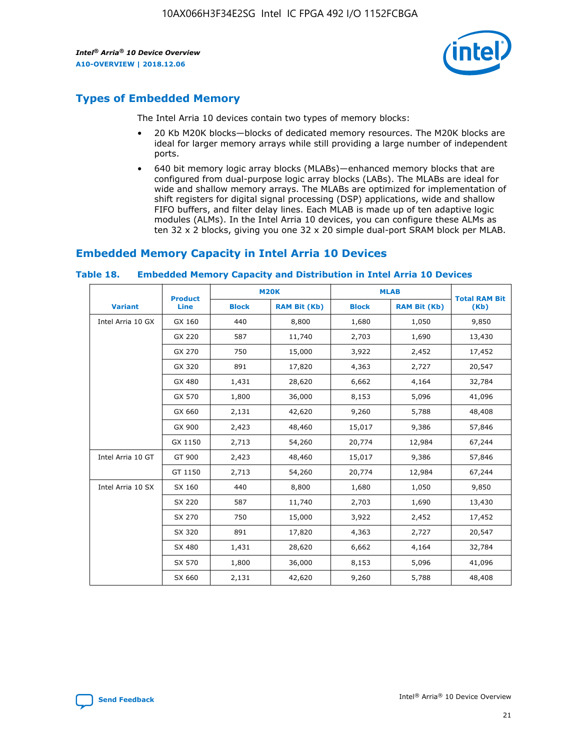

### **Types of Embedded Memory**

The Intel Arria 10 devices contain two types of memory blocks:

- 20 Kb M20K blocks—blocks of dedicated memory resources. The M20K blocks are ideal for larger memory arrays while still providing a large number of independent ports.
- 640 bit memory logic array blocks (MLABs)—enhanced memory blocks that are configured from dual-purpose logic array blocks (LABs). The MLABs are ideal for wide and shallow memory arrays. The MLABs are optimized for implementation of shift registers for digital signal processing (DSP) applications, wide and shallow FIFO buffers, and filter delay lines. Each MLAB is made up of ten adaptive logic modules (ALMs). In the Intel Arria 10 devices, you can configure these ALMs as ten 32 x 2 blocks, giving you one 32 x 20 simple dual-port SRAM block per MLAB.

### **Embedded Memory Capacity in Intel Arria 10 Devices**

|                   | <b>Product</b> |              | <b>M20K</b>         | <b>MLAB</b>  |                     | <b>Total RAM Bit</b> |
|-------------------|----------------|--------------|---------------------|--------------|---------------------|----------------------|
| <b>Variant</b>    | <b>Line</b>    | <b>Block</b> | <b>RAM Bit (Kb)</b> | <b>Block</b> | <b>RAM Bit (Kb)</b> | (Kb)                 |
| Intel Arria 10 GX | GX 160         | 440          | 8,800               | 1,680        | 1,050               | 9,850                |
|                   | GX 220         | 587          | 11,740              | 2,703        | 1,690               | 13,430               |
|                   | GX 270         | 750          | 15,000              | 3,922        | 2,452               | 17,452               |
|                   | GX 320         | 891          | 17,820              | 4,363        | 2,727               | 20,547               |
|                   | GX 480         | 1,431        | 28,620              | 6,662        | 4,164               | 32,784               |
|                   | GX 570         | 1,800        | 36,000              | 8,153        | 5,096               | 41,096               |
|                   | GX 660         | 2,131        | 42,620              | 9,260        | 5,788               | 48,408               |
|                   | GX 900         | 2,423        | 48,460              | 15,017       | 9,386               | 57,846               |
|                   | GX 1150        | 2,713        | 54,260              | 20,774       | 12,984              | 67,244               |
| Intel Arria 10 GT | GT 900         | 2,423        | 48,460              | 15,017       | 9,386               | 57,846               |
|                   | GT 1150        | 2,713        | 54,260              | 20,774       | 12,984              | 67,244               |
| Intel Arria 10 SX | SX 160         | 440          | 8,800               | 1,680        | 1,050               | 9,850                |
|                   | SX 220         | 587          | 11,740              | 2,703        | 1,690               | 13,430               |
|                   | SX 270         | 750          | 15,000              | 3,922        | 2,452               | 17,452               |
|                   | SX 320         | 891          | 17,820              | 4,363        | 2,727               | 20,547               |
|                   | SX 480         | 1,431        | 28,620              | 6,662        | 4,164               | 32,784               |
|                   | SX 570         | 1,800        | 36,000              | 8,153        | 5,096               | 41,096               |
|                   | SX 660         | 2,131        | 42,620              | 9,260        | 5,788               | 48,408               |

#### **Table 18. Embedded Memory Capacity and Distribution in Intel Arria 10 Devices**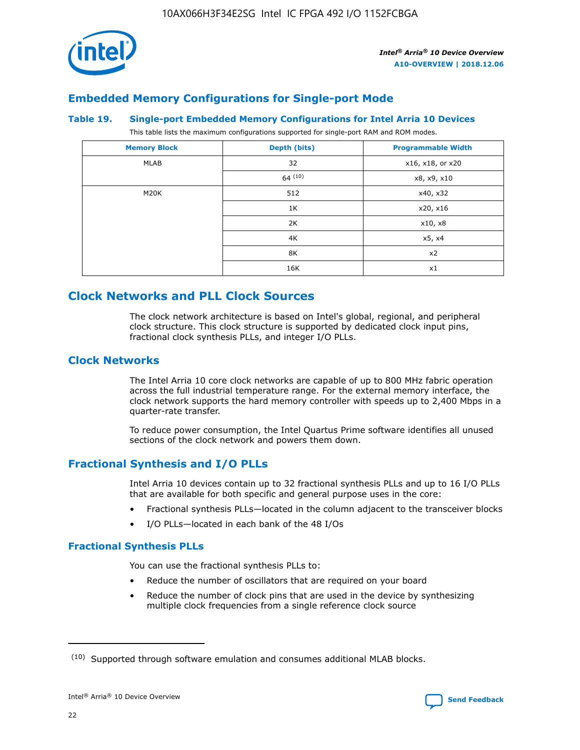

### **Embedded Memory Configurations for Single-port Mode**

### **Table 19. Single-port Embedded Memory Configurations for Intel Arria 10 Devices**

This table lists the maximum configurations supported for single-port RAM and ROM modes.

| <b>Memory Block</b> | Depth (bits) | <b>Programmable Width</b> |
|---------------------|--------------|---------------------------|
| MLAB                | 32           | x16, x18, or x20          |
|                     | 64(10)       | x8, x9, x10               |
| M20K                | 512          | x40, x32                  |
|                     | 1K           | x20, x16                  |
|                     | 2K           | x10, x8                   |
|                     | 4K           | x5, x4                    |
|                     | 8K           | x2                        |
|                     | 16K          | x1                        |

### **Clock Networks and PLL Clock Sources**

The clock network architecture is based on Intel's global, regional, and peripheral clock structure. This clock structure is supported by dedicated clock input pins, fractional clock synthesis PLLs, and integer I/O PLLs.

### **Clock Networks**

The Intel Arria 10 core clock networks are capable of up to 800 MHz fabric operation across the full industrial temperature range. For the external memory interface, the clock network supports the hard memory controller with speeds up to 2,400 Mbps in a quarter-rate transfer.

To reduce power consumption, the Intel Quartus Prime software identifies all unused sections of the clock network and powers them down.

### **Fractional Synthesis and I/O PLLs**

Intel Arria 10 devices contain up to 32 fractional synthesis PLLs and up to 16 I/O PLLs that are available for both specific and general purpose uses in the core:

- Fractional synthesis PLLs—located in the column adjacent to the transceiver blocks
- I/O PLLs—located in each bank of the 48 I/Os

### **Fractional Synthesis PLLs**

You can use the fractional synthesis PLLs to:

- Reduce the number of oscillators that are required on your board
- Reduce the number of clock pins that are used in the device by synthesizing multiple clock frequencies from a single reference clock source

<sup>(10)</sup> Supported through software emulation and consumes additional MLAB blocks.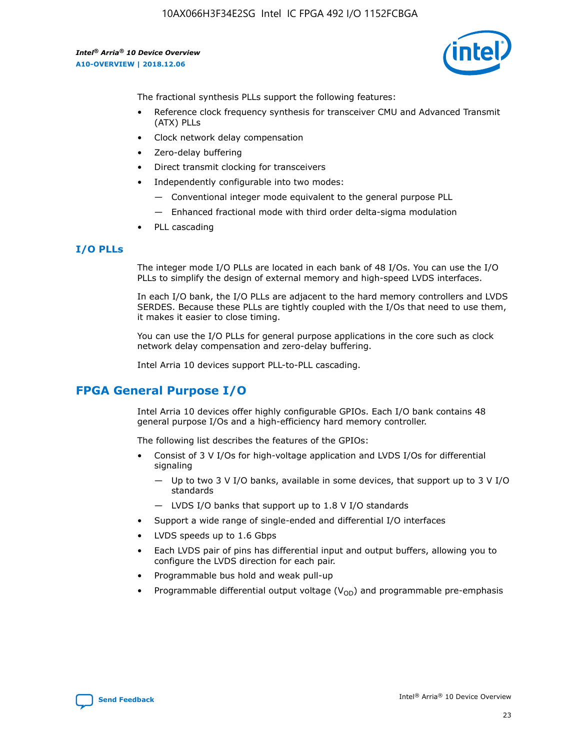

The fractional synthesis PLLs support the following features:

- Reference clock frequency synthesis for transceiver CMU and Advanced Transmit (ATX) PLLs
- Clock network delay compensation
- Zero-delay buffering
- Direct transmit clocking for transceivers
- Independently configurable into two modes:
	- Conventional integer mode equivalent to the general purpose PLL
	- Enhanced fractional mode with third order delta-sigma modulation
- PLL cascading

### **I/O PLLs**

The integer mode I/O PLLs are located in each bank of 48 I/Os. You can use the I/O PLLs to simplify the design of external memory and high-speed LVDS interfaces.

In each I/O bank, the I/O PLLs are adjacent to the hard memory controllers and LVDS SERDES. Because these PLLs are tightly coupled with the I/Os that need to use them, it makes it easier to close timing.

You can use the I/O PLLs for general purpose applications in the core such as clock network delay compensation and zero-delay buffering.

Intel Arria 10 devices support PLL-to-PLL cascading.

### **FPGA General Purpose I/O**

Intel Arria 10 devices offer highly configurable GPIOs. Each I/O bank contains 48 general purpose I/Os and a high-efficiency hard memory controller.

The following list describes the features of the GPIOs:

- Consist of 3 V I/Os for high-voltage application and LVDS I/Os for differential signaling
	- Up to two 3 V I/O banks, available in some devices, that support up to 3 V I/O standards
	- LVDS I/O banks that support up to 1.8 V I/O standards
- Support a wide range of single-ended and differential I/O interfaces
- LVDS speeds up to 1.6 Gbps
- Each LVDS pair of pins has differential input and output buffers, allowing you to configure the LVDS direction for each pair.
- Programmable bus hold and weak pull-up
- Programmable differential output voltage  $(V_{OD})$  and programmable pre-emphasis

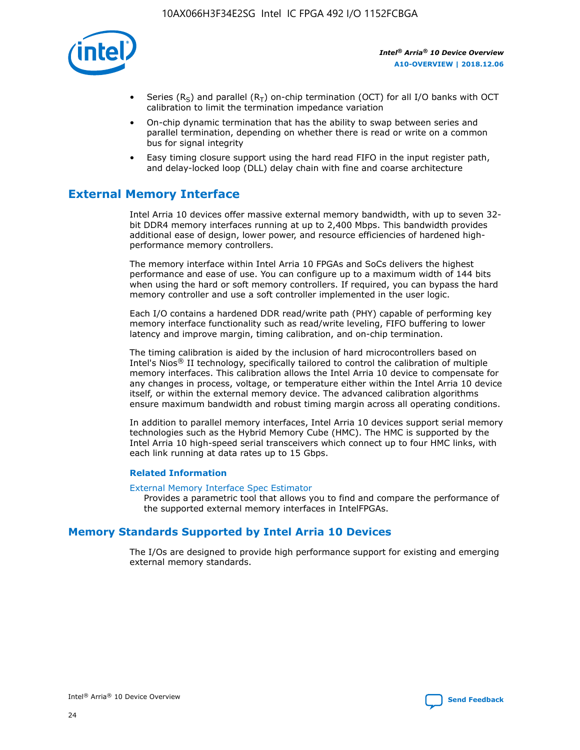

- Series (R<sub>S</sub>) and parallel (R<sub>T</sub>) on-chip termination (OCT) for all I/O banks with OCT calibration to limit the termination impedance variation
- On-chip dynamic termination that has the ability to swap between series and parallel termination, depending on whether there is read or write on a common bus for signal integrity
- Easy timing closure support using the hard read FIFO in the input register path, and delay-locked loop (DLL) delay chain with fine and coarse architecture

### **External Memory Interface**

Intel Arria 10 devices offer massive external memory bandwidth, with up to seven 32 bit DDR4 memory interfaces running at up to 2,400 Mbps. This bandwidth provides additional ease of design, lower power, and resource efficiencies of hardened highperformance memory controllers.

The memory interface within Intel Arria 10 FPGAs and SoCs delivers the highest performance and ease of use. You can configure up to a maximum width of 144 bits when using the hard or soft memory controllers. If required, you can bypass the hard memory controller and use a soft controller implemented in the user logic.

Each I/O contains a hardened DDR read/write path (PHY) capable of performing key memory interface functionality such as read/write leveling, FIFO buffering to lower latency and improve margin, timing calibration, and on-chip termination.

The timing calibration is aided by the inclusion of hard microcontrollers based on Intel's Nios® II technology, specifically tailored to control the calibration of multiple memory interfaces. This calibration allows the Intel Arria 10 device to compensate for any changes in process, voltage, or temperature either within the Intel Arria 10 device itself, or within the external memory device. The advanced calibration algorithms ensure maximum bandwidth and robust timing margin across all operating conditions.

In addition to parallel memory interfaces, Intel Arria 10 devices support serial memory technologies such as the Hybrid Memory Cube (HMC). The HMC is supported by the Intel Arria 10 high-speed serial transceivers which connect up to four HMC links, with each link running at data rates up to 15 Gbps.

### **Related Information**

#### [External Memory Interface Spec Estimator](http://www.altera.com/technology/memory/estimator/mem-emif-index.html)

Provides a parametric tool that allows you to find and compare the performance of the supported external memory interfaces in IntelFPGAs.

### **Memory Standards Supported by Intel Arria 10 Devices**

The I/Os are designed to provide high performance support for existing and emerging external memory standards.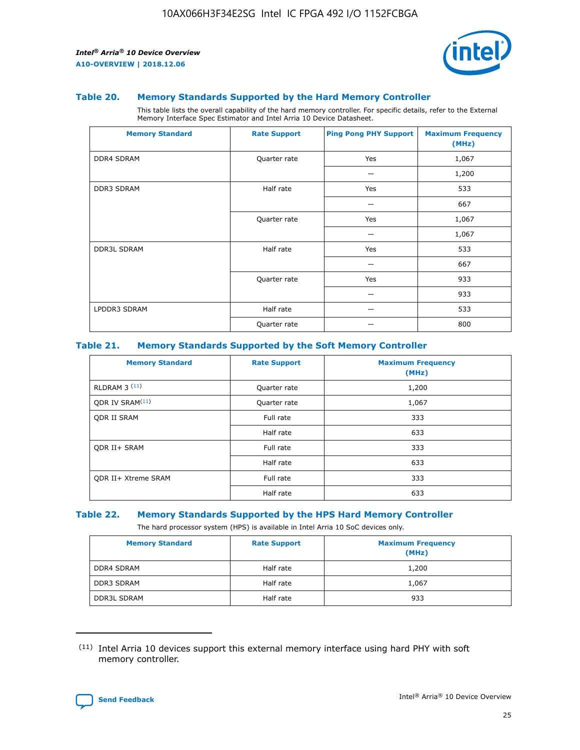

### **Table 20. Memory Standards Supported by the Hard Memory Controller**

This table lists the overall capability of the hard memory controller. For specific details, refer to the External Memory Interface Spec Estimator and Intel Arria 10 Device Datasheet.

| <b>Memory Standard</b> | <b>Rate Support</b> | <b>Ping Pong PHY Support</b> | <b>Maximum Frequency</b><br>(MHz) |
|------------------------|---------------------|------------------------------|-----------------------------------|
| <b>DDR4 SDRAM</b>      | Quarter rate        | Yes                          | 1,067                             |
|                        |                     |                              | 1,200                             |
| DDR3 SDRAM             | Half rate           | Yes                          | 533                               |
|                        |                     |                              | 667                               |
|                        | Quarter rate        | Yes                          | 1,067                             |
|                        |                     |                              | 1,067                             |
| <b>DDR3L SDRAM</b>     | Half rate           | Yes                          | 533                               |
|                        |                     |                              | 667                               |
|                        | Quarter rate        | Yes                          | 933                               |
|                        |                     |                              | 933                               |
| LPDDR3 SDRAM           | Half rate           |                              | 533                               |
|                        | Quarter rate        |                              | 800                               |

### **Table 21. Memory Standards Supported by the Soft Memory Controller**

| <b>Memory Standard</b>      | <b>Rate Support</b> | <b>Maximum Frequency</b><br>(MHz) |
|-----------------------------|---------------------|-----------------------------------|
| <b>RLDRAM 3 (11)</b>        | Quarter rate        | 1,200                             |
| ODR IV SRAM <sup>(11)</sup> | Quarter rate        | 1,067                             |
| <b>ODR II SRAM</b>          | Full rate           | 333                               |
|                             | Half rate           | 633                               |
| <b>ODR II+ SRAM</b>         | Full rate           | 333                               |
|                             | Half rate           | 633                               |
| <b>ODR II+ Xtreme SRAM</b>  | Full rate           | 333                               |
|                             | Half rate           | 633                               |

#### **Table 22. Memory Standards Supported by the HPS Hard Memory Controller**

The hard processor system (HPS) is available in Intel Arria 10 SoC devices only.

| <b>Memory Standard</b> | <b>Rate Support</b> | <b>Maximum Frequency</b><br>(MHz) |
|------------------------|---------------------|-----------------------------------|
| <b>DDR4 SDRAM</b>      | Half rate           | 1,200                             |
| <b>DDR3 SDRAM</b>      | Half rate           | 1,067                             |
| <b>DDR3L SDRAM</b>     | Half rate           | 933                               |

<sup>(11)</sup> Intel Arria 10 devices support this external memory interface using hard PHY with soft memory controller.

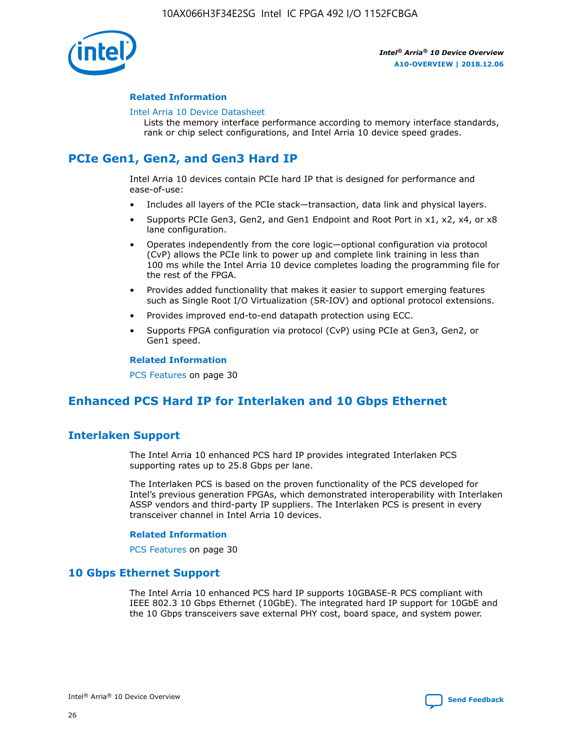

### **Related Information**

#### [Intel Arria 10 Device Datasheet](https://www.intel.com/content/www/us/en/programmable/documentation/mcn1413182292568.html#mcn1413182153340)

Lists the memory interface performance according to memory interface standards, rank or chip select configurations, and Intel Arria 10 device speed grades.

### **PCIe Gen1, Gen2, and Gen3 Hard IP**

Intel Arria 10 devices contain PCIe hard IP that is designed for performance and ease-of-use:

- Includes all layers of the PCIe stack—transaction, data link and physical layers.
- Supports PCIe Gen3, Gen2, and Gen1 Endpoint and Root Port in x1, x2, x4, or x8 lane configuration.
- Operates independently from the core logic—optional configuration via protocol (CvP) allows the PCIe link to power up and complete link training in less than 100 ms while the Intel Arria 10 device completes loading the programming file for the rest of the FPGA.
- Provides added functionality that makes it easier to support emerging features such as Single Root I/O Virtualization (SR-IOV) and optional protocol extensions.
- Provides improved end-to-end datapath protection using ECC.
- Supports FPGA configuration via protocol (CvP) using PCIe at Gen3, Gen2, or Gen1 speed.

#### **Related Information**

PCS Features on page 30

### **Enhanced PCS Hard IP for Interlaken and 10 Gbps Ethernet**

### **Interlaken Support**

The Intel Arria 10 enhanced PCS hard IP provides integrated Interlaken PCS supporting rates up to 25.8 Gbps per lane.

The Interlaken PCS is based on the proven functionality of the PCS developed for Intel's previous generation FPGAs, which demonstrated interoperability with Interlaken ASSP vendors and third-party IP suppliers. The Interlaken PCS is present in every transceiver channel in Intel Arria 10 devices.

### **Related Information**

PCS Features on page 30

### **10 Gbps Ethernet Support**

The Intel Arria 10 enhanced PCS hard IP supports 10GBASE-R PCS compliant with IEEE 802.3 10 Gbps Ethernet (10GbE). The integrated hard IP support for 10GbE and the 10 Gbps transceivers save external PHY cost, board space, and system power.

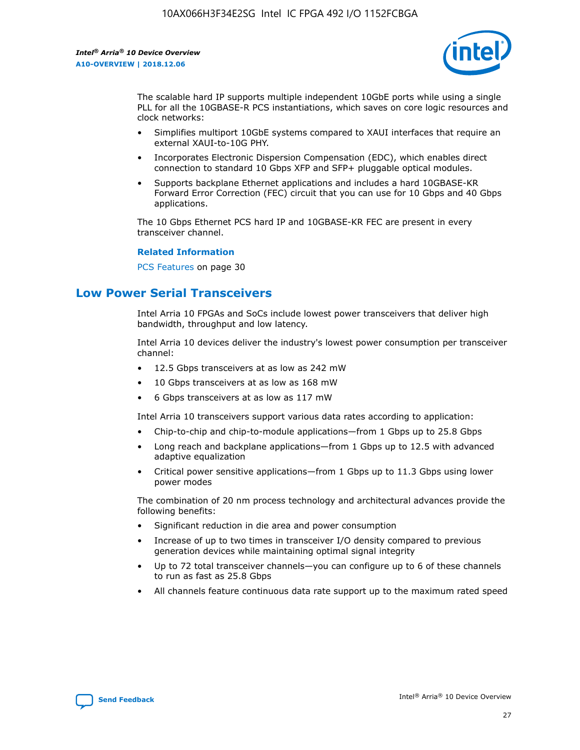

The scalable hard IP supports multiple independent 10GbE ports while using a single PLL for all the 10GBASE-R PCS instantiations, which saves on core logic resources and clock networks:

- Simplifies multiport 10GbE systems compared to XAUI interfaces that require an external XAUI-to-10G PHY.
- Incorporates Electronic Dispersion Compensation (EDC), which enables direct connection to standard 10 Gbps XFP and SFP+ pluggable optical modules.
- Supports backplane Ethernet applications and includes a hard 10GBASE-KR Forward Error Correction (FEC) circuit that you can use for 10 Gbps and 40 Gbps applications.

The 10 Gbps Ethernet PCS hard IP and 10GBASE-KR FEC are present in every transceiver channel.

### **Related Information**

PCS Features on page 30

### **Low Power Serial Transceivers**

Intel Arria 10 FPGAs and SoCs include lowest power transceivers that deliver high bandwidth, throughput and low latency.

Intel Arria 10 devices deliver the industry's lowest power consumption per transceiver channel:

- 12.5 Gbps transceivers at as low as 242 mW
- 10 Gbps transceivers at as low as 168 mW
- 6 Gbps transceivers at as low as 117 mW

Intel Arria 10 transceivers support various data rates according to application:

- Chip-to-chip and chip-to-module applications—from 1 Gbps up to 25.8 Gbps
- Long reach and backplane applications—from 1 Gbps up to 12.5 with advanced adaptive equalization
- Critical power sensitive applications—from 1 Gbps up to 11.3 Gbps using lower power modes

The combination of 20 nm process technology and architectural advances provide the following benefits:

- Significant reduction in die area and power consumption
- Increase of up to two times in transceiver I/O density compared to previous generation devices while maintaining optimal signal integrity
- Up to 72 total transceiver channels—you can configure up to 6 of these channels to run as fast as 25.8 Gbps
- All channels feature continuous data rate support up to the maximum rated speed

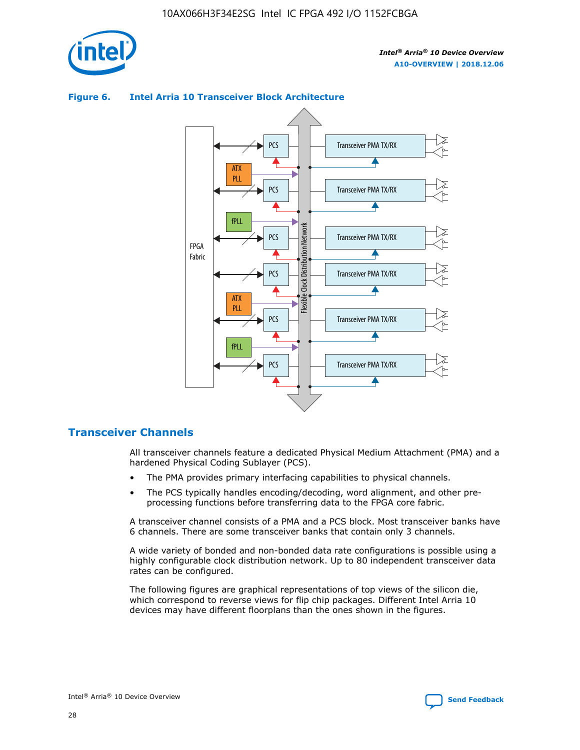

### Transceiver PMA TX/RX PCS ATX PLL Transceiver PMA TX/RX PCS fPLL Network Flexible Clock Distribution Network PCS Transceiver PMA TX/RX FPGA **Clock Distribution** Fabric PCS Transceiver PMA TX/RX ATX Flexible PLL PCS Transceiver PMA TX/RX ▲ fPLL Transceiver PMA TX/RX PCS 4

### **Figure 6. Intel Arria 10 Transceiver Block Architecture**

### **Transceiver Channels**

All transceiver channels feature a dedicated Physical Medium Attachment (PMA) and a hardened Physical Coding Sublayer (PCS).

- The PMA provides primary interfacing capabilities to physical channels.
- The PCS typically handles encoding/decoding, word alignment, and other preprocessing functions before transferring data to the FPGA core fabric.

A transceiver channel consists of a PMA and a PCS block. Most transceiver banks have 6 channels. There are some transceiver banks that contain only 3 channels.

A wide variety of bonded and non-bonded data rate configurations is possible using a highly configurable clock distribution network. Up to 80 independent transceiver data rates can be configured.

The following figures are graphical representations of top views of the silicon die, which correspond to reverse views for flip chip packages. Different Intel Arria 10 devices may have different floorplans than the ones shown in the figures.

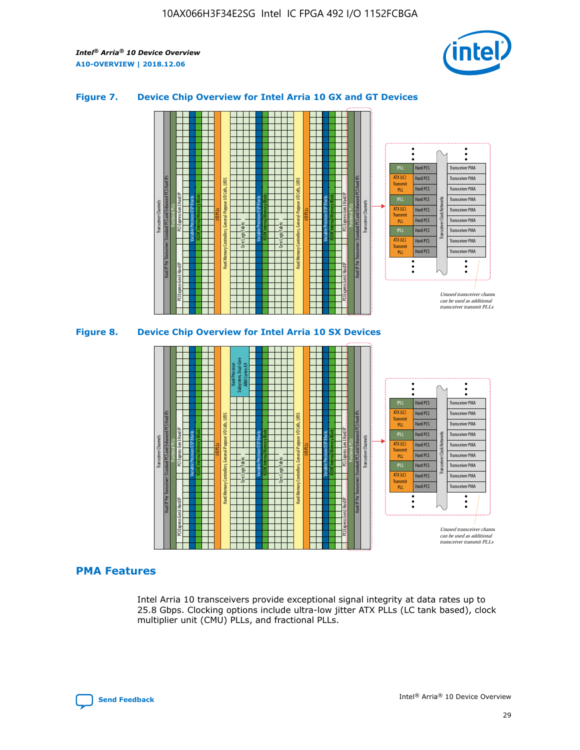

### **Figure 7. Device Chip Overview for Intel Arria 10 GX and GT Devices**





### **PMA Features**

Intel Arria 10 transceivers provide exceptional signal integrity at data rates up to 25.8 Gbps. Clocking options include ultra-low jitter ATX PLLs (LC tank based), clock multiplier unit (CMU) PLLs, and fractional PLLs.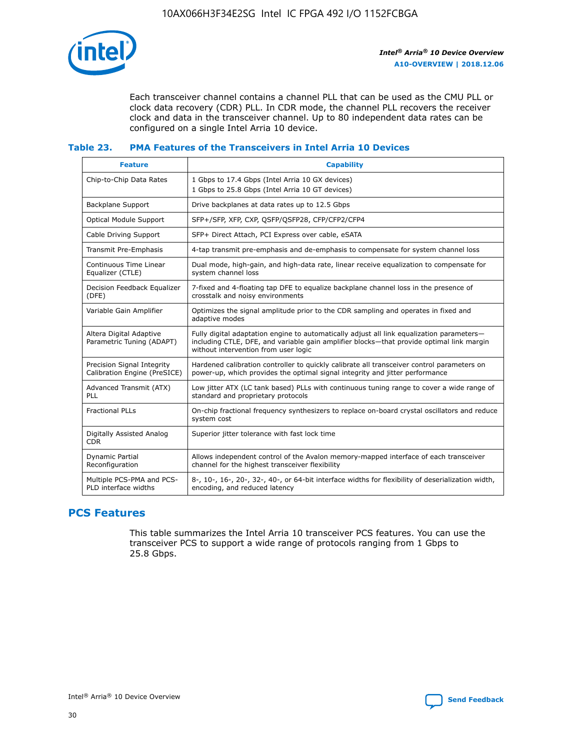

Each transceiver channel contains a channel PLL that can be used as the CMU PLL or clock data recovery (CDR) PLL. In CDR mode, the channel PLL recovers the receiver clock and data in the transceiver channel. Up to 80 independent data rates can be configured on a single Intel Arria 10 device.

### **Table 23. PMA Features of the Transceivers in Intel Arria 10 Devices**

| <b>Feature</b>                                             | <b>Capability</b>                                                                                                                                                                                                             |
|------------------------------------------------------------|-------------------------------------------------------------------------------------------------------------------------------------------------------------------------------------------------------------------------------|
| Chip-to-Chip Data Rates                                    | 1 Gbps to 17.4 Gbps (Intel Arria 10 GX devices)<br>1 Gbps to 25.8 Gbps (Intel Arria 10 GT devices)                                                                                                                            |
| Backplane Support                                          | Drive backplanes at data rates up to 12.5 Gbps                                                                                                                                                                                |
| <b>Optical Module Support</b>                              | SFP+/SFP, XFP, CXP, QSFP/QSFP28, CFP/CFP2/CFP4                                                                                                                                                                                |
| Cable Driving Support                                      | SFP+ Direct Attach, PCI Express over cable, eSATA                                                                                                                                                                             |
| Transmit Pre-Emphasis                                      | 4-tap transmit pre-emphasis and de-emphasis to compensate for system channel loss                                                                                                                                             |
| Continuous Time Linear<br>Equalizer (CTLE)                 | Dual mode, high-gain, and high-data rate, linear receive equalization to compensate for<br>system channel loss                                                                                                                |
| Decision Feedback Equalizer<br>(DFE)                       | 7-fixed and 4-floating tap DFE to equalize backplane channel loss in the presence of<br>crosstalk and noisy environments                                                                                                      |
| Variable Gain Amplifier                                    | Optimizes the signal amplitude prior to the CDR sampling and operates in fixed and<br>adaptive modes                                                                                                                          |
| Altera Digital Adaptive<br>Parametric Tuning (ADAPT)       | Fully digital adaptation engine to automatically adjust all link equalization parameters-<br>including CTLE, DFE, and variable gain amplifier blocks—that provide optimal link margin<br>without intervention from user logic |
| Precision Signal Integrity<br>Calibration Engine (PreSICE) | Hardened calibration controller to quickly calibrate all transceiver control parameters on<br>power-up, which provides the optimal signal integrity and jitter performance                                                    |
| Advanced Transmit (ATX)<br><b>PLL</b>                      | Low jitter ATX (LC tank based) PLLs with continuous tuning range to cover a wide range of<br>standard and proprietary protocols                                                                                               |
| <b>Fractional PLLs</b>                                     | On-chip fractional frequency synthesizers to replace on-board crystal oscillators and reduce<br>system cost                                                                                                                   |
| Digitally Assisted Analog<br><b>CDR</b>                    | Superior jitter tolerance with fast lock time                                                                                                                                                                                 |
| Dynamic Partial<br>Reconfiguration                         | Allows independent control of the Avalon memory-mapped interface of each transceiver<br>channel for the highest transceiver flexibility                                                                                       |
| Multiple PCS-PMA and PCS-<br>PLD interface widths          | 8-, 10-, 16-, 20-, 32-, 40-, or 64-bit interface widths for flexibility of deserialization width,<br>encoding, and reduced latency                                                                                            |

### **PCS Features**

This table summarizes the Intel Arria 10 transceiver PCS features. You can use the transceiver PCS to support a wide range of protocols ranging from 1 Gbps to 25.8 Gbps.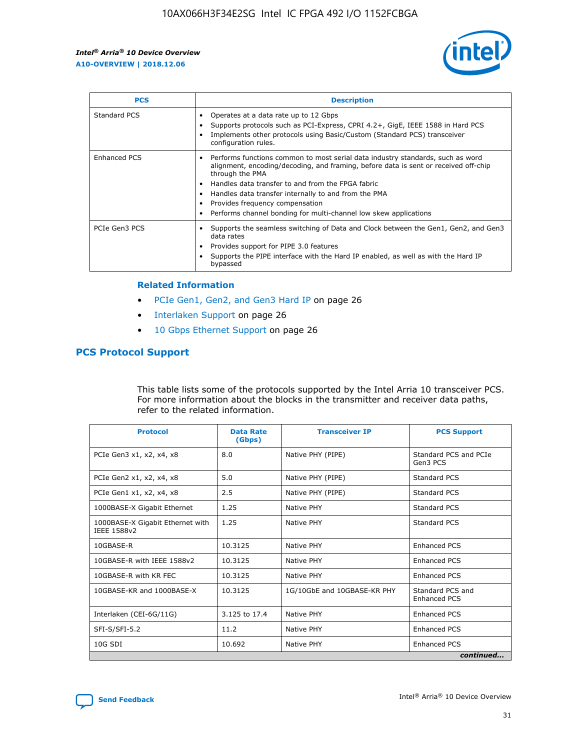

| <b>PCS</b>    | <b>Description</b>                                                                                                                                                                                                                                                                                                                                                                                             |
|---------------|----------------------------------------------------------------------------------------------------------------------------------------------------------------------------------------------------------------------------------------------------------------------------------------------------------------------------------------------------------------------------------------------------------------|
| Standard PCS  | Operates at a data rate up to 12 Gbps<br>Supports protocols such as PCI-Express, CPRI 4.2+, GigE, IEEE 1588 in Hard PCS<br>Implements other protocols using Basic/Custom (Standard PCS) transceiver<br>configuration rules.                                                                                                                                                                                    |
| Enhanced PCS  | Performs functions common to most serial data industry standards, such as word<br>alignment, encoding/decoding, and framing, before data is sent or received off-chip<br>through the PMA<br>• Handles data transfer to and from the FPGA fabric<br>Handles data transfer internally to and from the PMA<br>Provides frequency compensation<br>Performs channel bonding for multi-channel low skew applications |
| PCIe Gen3 PCS | Supports the seamless switching of Data and Clock between the Gen1, Gen2, and Gen3<br>data rates<br>Provides support for PIPE 3.0 features<br>Supports the PIPE interface with the Hard IP enabled, as well as with the Hard IP<br>bypassed                                                                                                                                                                    |

#### **Related Information**

- PCIe Gen1, Gen2, and Gen3 Hard IP on page 26
- Interlaken Support on page 26
- 10 Gbps Ethernet Support on page 26

### **PCS Protocol Support**

This table lists some of the protocols supported by the Intel Arria 10 transceiver PCS. For more information about the blocks in the transmitter and receiver data paths, refer to the related information.

| <b>Protocol</b>                                 | <b>Data Rate</b><br>(Gbps) | <b>Transceiver IP</b>       | <b>PCS Support</b>                      |
|-------------------------------------------------|----------------------------|-----------------------------|-----------------------------------------|
| PCIe Gen3 x1, x2, x4, x8                        | 8.0                        | Native PHY (PIPE)           | Standard PCS and PCIe<br>Gen3 PCS       |
| PCIe Gen2 x1, x2, x4, x8                        | 5.0                        | Native PHY (PIPE)           | <b>Standard PCS</b>                     |
| PCIe Gen1 x1, x2, x4, x8                        | 2.5                        | Native PHY (PIPE)           | Standard PCS                            |
| 1000BASE-X Gigabit Ethernet                     | 1.25                       | Native PHY                  | <b>Standard PCS</b>                     |
| 1000BASE-X Gigabit Ethernet with<br>IEEE 1588v2 | 1.25                       | Native PHY                  | Standard PCS                            |
| 10GBASE-R                                       | 10.3125                    | Native PHY                  | <b>Enhanced PCS</b>                     |
| 10GBASE-R with IEEE 1588v2                      | 10.3125                    | Native PHY                  | <b>Enhanced PCS</b>                     |
| 10GBASE-R with KR FEC                           | 10.3125                    | Native PHY                  | <b>Enhanced PCS</b>                     |
| 10GBASE-KR and 1000BASE-X                       | 10.3125                    | 1G/10GbE and 10GBASE-KR PHY | Standard PCS and<br><b>Enhanced PCS</b> |
| Interlaken (CEI-6G/11G)                         | 3.125 to 17.4              | Native PHY                  | <b>Enhanced PCS</b>                     |
| SFI-S/SFI-5.2                                   | 11.2                       | Native PHY                  | <b>Enhanced PCS</b>                     |
| $10G$ SDI                                       | 10.692                     | Native PHY                  | <b>Enhanced PCS</b>                     |
|                                                 |                            |                             | continued                               |

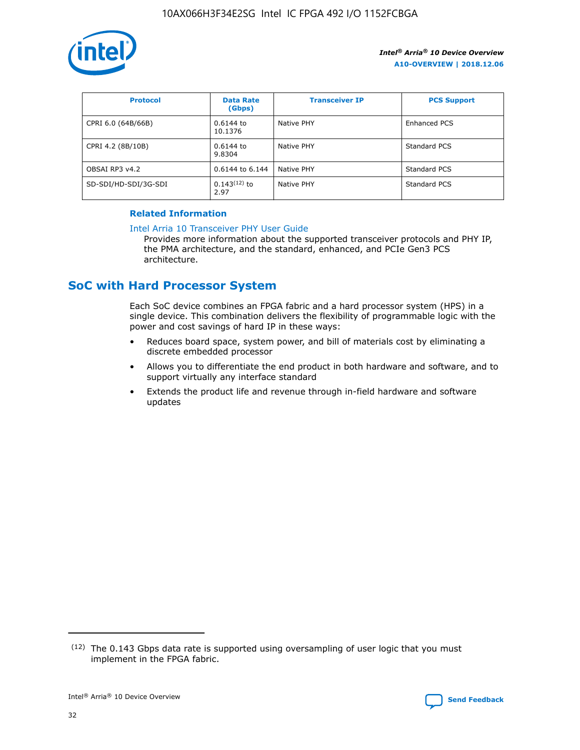

| <b>Protocol</b>      | <b>Data Rate</b><br>(Gbps) | <b>Transceiver IP</b> | <b>PCS Support</b>  |
|----------------------|----------------------------|-----------------------|---------------------|
| CPRI 6.0 (64B/66B)   | 0.6144 to<br>10.1376       | Native PHY            | <b>Enhanced PCS</b> |
| CPRI 4.2 (8B/10B)    | 0.6144 to<br>9.8304        | Native PHY            | Standard PCS        |
| OBSAI RP3 v4.2       | 0.6144 to 6.144            | Native PHY            | Standard PCS        |
| SD-SDI/HD-SDI/3G-SDI | $0.143(12)$ to<br>2.97     | Native PHY            | Standard PCS        |

### **Related Information**

#### [Intel Arria 10 Transceiver PHY User Guide](https://www.intel.com/content/www/us/en/programmable/documentation/nik1398707230472.html#nik1398707091164)

Provides more information about the supported transceiver protocols and PHY IP, the PMA architecture, and the standard, enhanced, and PCIe Gen3 PCS architecture.

### **SoC with Hard Processor System**

Each SoC device combines an FPGA fabric and a hard processor system (HPS) in a single device. This combination delivers the flexibility of programmable logic with the power and cost savings of hard IP in these ways:

- Reduces board space, system power, and bill of materials cost by eliminating a discrete embedded processor
- Allows you to differentiate the end product in both hardware and software, and to support virtually any interface standard
- Extends the product life and revenue through in-field hardware and software updates

 $(12)$  The 0.143 Gbps data rate is supported using oversampling of user logic that you must implement in the FPGA fabric.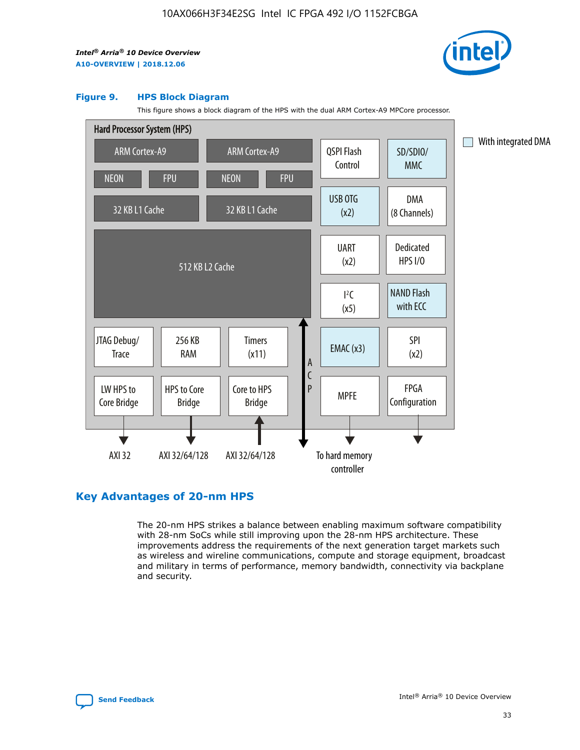

#### **Figure 9. HPS Block Diagram**

This figure shows a block diagram of the HPS with the dual ARM Cortex-A9 MPCore processor.



### **Key Advantages of 20-nm HPS**

The 20-nm HPS strikes a balance between enabling maximum software compatibility with 28-nm SoCs while still improving upon the 28-nm HPS architecture. These improvements address the requirements of the next generation target markets such as wireless and wireline communications, compute and storage equipment, broadcast and military in terms of performance, memory bandwidth, connectivity via backplane and security.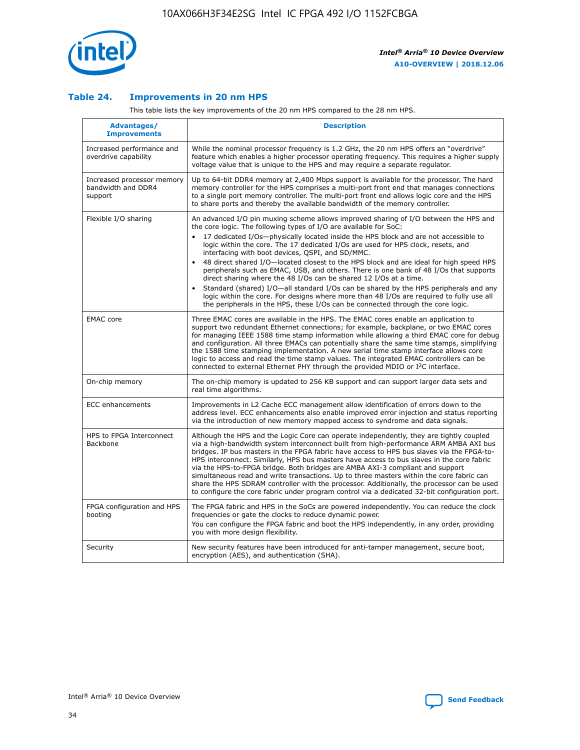

### **Table 24. Improvements in 20 nm HPS**

This table lists the key improvements of the 20 nm HPS compared to the 28 nm HPS.

| Advantages/<br><b>Improvements</b>                          | <b>Description</b>                                                                                                                                                                                                                                                                                                                                                                                                                                                                                                                                                                                                                                                                                                                                                                                                                                                                                                      |
|-------------------------------------------------------------|-------------------------------------------------------------------------------------------------------------------------------------------------------------------------------------------------------------------------------------------------------------------------------------------------------------------------------------------------------------------------------------------------------------------------------------------------------------------------------------------------------------------------------------------------------------------------------------------------------------------------------------------------------------------------------------------------------------------------------------------------------------------------------------------------------------------------------------------------------------------------------------------------------------------------|
| Increased performance and<br>overdrive capability           | While the nominal processor frequency is 1.2 GHz, the 20 nm HPS offers an "overdrive"<br>feature which enables a higher processor operating frequency. This requires a higher supply<br>voltage value that is unique to the HPS and may require a separate regulator.                                                                                                                                                                                                                                                                                                                                                                                                                                                                                                                                                                                                                                                   |
| Increased processor memory<br>bandwidth and DDR4<br>support | Up to 64-bit DDR4 memory at 2,400 Mbps support is available for the processor. The hard<br>memory controller for the HPS comprises a multi-port front end that manages connections<br>to a single port memory controller. The multi-port front end allows logic core and the HPS<br>to share ports and thereby the available bandwidth of the memory controller.                                                                                                                                                                                                                                                                                                                                                                                                                                                                                                                                                        |
| Flexible I/O sharing                                        | An advanced I/O pin muxing scheme allows improved sharing of I/O between the HPS and<br>the core logic. The following types of I/O are available for SoC:<br>17 dedicated I/Os-physically located inside the HPS block and are not accessible to<br>logic within the core. The 17 dedicated I/Os are used for HPS clock, resets, and<br>interfacing with boot devices, QSPI, and SD/MMC.<br>48 direct shared I/O-located closest to the HPS block and are ideal for high speed HPS<br>peripherals such as EMAC, USB, and others. There is one bank of 48 I/Os that supports<br>direct sharing where the 48 I/Os can be shared 12 I/Os at a time.<br>Standard (shared) I/O-all standard I/Os can be shared by the HPS peripherals and any<br>logic within the core. For designs where more than 48 I/Os are reguired to fully use all<br>the peripherals in the HPS, these I/Os can be connected through the core logic. |
| <b>EMAC</b> core                                            | Three EMAC cores are available in the HPS. The EMAC cores enable an application to<br>support two redundant Ethernet connections; for example, backplane, or two EMAC cores<br>for managing IEEE 1588 time stamp information while allowing a third EMAC core for debug<br>and configuration. All three EMACs can potentially share the same time stamps, simplifying<br>the 1588 time stamping implementation. A new serial time stamp interface allows core<br>logic to access and read the time stamp values. The integrated EMAC controllers can be<br>connected to external Ethernet PHY through the provided MDIO or I <sup>2</sup> C interface.                                                                                                                                                                                                                                                                  |
| On-chip memory                                              | The on-chip memory is updated to 256 KB support and can support larger data sets and<br>real time algorithms.                                                                                                                                                                                                                                                                                                                                                                                                                                                                                                                                                                                                                                                                                                                                                                                                           |
| <b>ECC</b> enhancements                                     | Improvements in L2 Cache ECC management allow identification of errors down to the<br>address level. ECC enhancements also enable improved error injection and status reporting<br>via the introduction of new memory mapped access to syndrome and data signals.                                                                                                                                                                                                                                                                                                                                                                                                                                                                                                                                                                                                                                                       |
| HPS to FPGA Interconnect<br>Backbone                        | Although the HPS and the Logic Core can operate independently, they are tightly coupled<br>via a high-bandwidth system interconnect built from high-performance ARM AMBA AXI bus<br>bridges. IP bus masters in the FPGA fabric have access to HPS bus slaves via the FPGA-to-<br>HPS interconnect. Similarly, HPS bus masters have access to bus slaves in the core fabric<br>via the HPS-to-FPGA bridge. Both bridges are AMBA AXI-3 compliant and support<br>simultaneous read and write transactions. Up to three masters within the core fabric can<br>share the HPS SDRAM controller with the processor. Additionally, the processor can be used<br>to configure the core fabric under program control via a dedicated 32-bit configuration port.                                                                                                                                                                  |
| FPGA configuration and HPS<br>booting                       | The FPGA fabric and HPS in the SoCs are powered independently. You can reduce the clock<br>frequencies or gate the clocks to reduce dynamic power.<br>You can configure the FPGA fabric and boot the HPS independently, in any order, providing<br>you with more design flexibility.                                                                                                                                                                                                                                                                                                                                                                                                                                                                                                                                                                                                                                    |
| Security                                                    | New security features have been introduced for anti-tamper management, secure boot,<br>encryption (AES), and authentication (SHA).                                                                                                                                                                                                                                                                                                                                                                                                                                                                                                                                                                                                                                                                                                                                                                                      |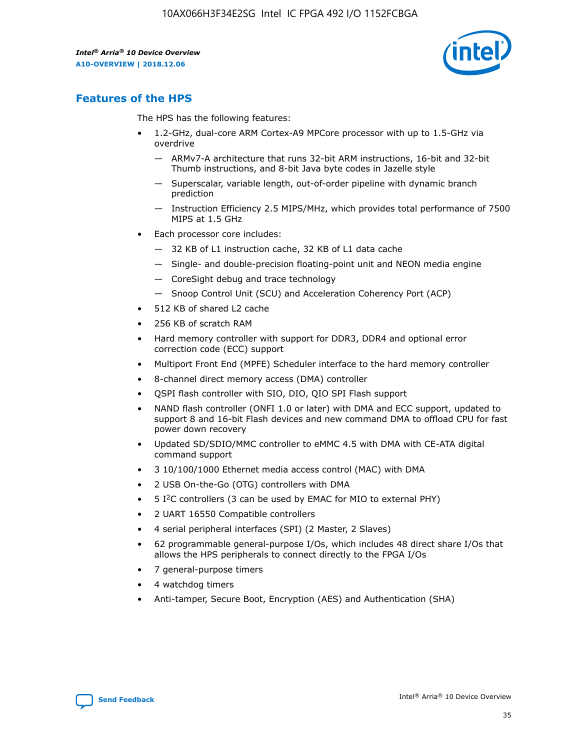

### **Features of the HPS**

The HPS has the following features:

- 1.2-GHz, dual-core ARM Cortex-A9 MPCore processor with up to 1.5-GHz via overdrive
	- ARMv7-A architecture that runs 32-bit ARM instructions, 16-bit and 32-bit Thumb instructions, and 8-bit Java byte codes in Jazelle style
	- Superscalar, variable length, out-of-order pipeline with dynamic branch prediction
	- Instruction Efficiency 2.5 MIPS/MHz, which provides total performance of 7500 MIPS at 1.5 GHz
- Each processor core includes:
	- 32 KB of L1 instruction cache, 32 KB of L1 data cache
	- Single- and double-precision floating-point unit and NEON media engine
	- CoreSight debug and trace technology
	- Snoop Control Unit (SCU) and Acceleration Coherency Port (ACP)
- 512 KB of shared L2 cache
- 256 KB of scratch RAM
- Hard memory controller with support for DDR3, DDR4 and optional error correction code (ECC) support
- Multiport Front End (MPFE) Scheduler interface to the hard memory controller
- 8-channel direct memory access (DMA) controller
- QSPI flash controller with SIO, DIO, QIO SPI Flash support
- NAND flash controller (ONFI 1.0 or later) with DMA and ECC support, updated to support 8 and 16-bit Flash devices and new command DMA to offload CPU for fast power down recovery
- Updated SD/SDIO/MMC controller to eMMC 4.5 with DMA with CE-ATA digital command support
- 3 10/100/1000 Ethernet media access control (MAC) with DMA
- 2 USB On-the-Go (OTG) controllers with DMA
- $\bullet$  5 I<sup>2</sup>C controllers (3 can be used by EMAC for MIO to external PHY)
- 2 UART 16550 Compatible controllers
- 4 serial peripheral interfaces (SPI) (2 Master, 2 Slaves)
- 62 programmable general-purpose I/Os, which includes 48 direct share I/Os that allows the HPS peripherals to connect directly to the FPGA I/Os
- 7 general-purpose timers
- 4 watchdog timers
- Anti-tamper, Secure Boot, Encryption (AES) and Authentication (SHA)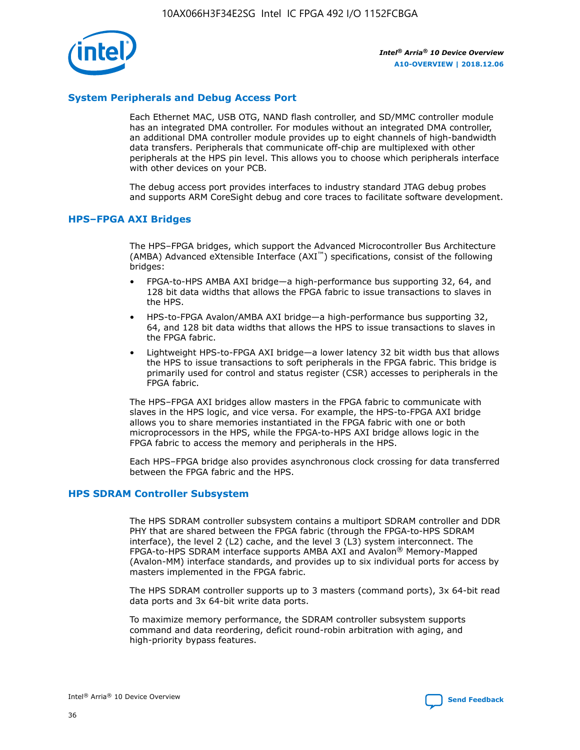

### **System Peripherals and Debug Access Port**

Each Ethernet MAC, USB OTG, NAND flash controller, and SD/MMC controller module has an integrated DMA controller. For modules without an integrated DMA controller, an additional DMA controller module provides up to eight channels of high-bandwidth data transfers. Peripherals that communicate off-chip are multiplexed with other peripherals at the HPS pin level. This allows you to choose which peripherals interface with other devices on your PCB.

The debug access port provides interfaces to industry standard JTAG debug probes and supports ARM CoreSight debug and core traces to facilitate software development.

### **HPS–FPGA AXI Bridges**

The HPS–FPGA bridges, which support the Advanced Microcontroller Bus Architecture (AMBA) Advanced eXtensible Interface (AXI™) specifications, consist of the following bridges:

- FPGA-to-HPS AMBA AXI bridge—a high-performance bus supporting 32, 64, and 128 bit data widths that allows the FPGA fabric to issue transactions to slaves in the HPS.
- HPS-to-FPGA Avalon/AMBA AXI bridge—a high-performance bus supporting 32, 64, and 128 bit data widths that allows the HPS to issue transactions to slaves in the FPGA fabric.
- Lightweight HPS-to-FPGA AXI bridge—a lower latency 32 bit width bus that allows the HPS to issue transactions to soft peripherals in the FPGA fabric. This bridge is primarily used for control and status register (CSR) accesses to peripherals in the FPGA fabric.

The HPS–FPGA AXI bridges allow masters in the FPGA fabric to communicate with slaves in the HPS logic, and vice versa. For example, the HPS-to-FPGA AXI bridge allows you to share memories instantiated in the FPGA fabric with one or both microprocessors in the HPS, while the FPGA-to-HPS AXI bridge allows logic in the FPGA fabric to access the memory and peripherals in the HPS.

Each HPS–FPGA bridge also provides asynchronous clock crossing for data transferred between the FPGA fabric and the HPS.

#### **HPS SDRAM Controller Subsystem**

The HPS SDRAM controller subsystem contains a multiport SDRAM controller and DDR PHY that are shared between the FPGA fabric (through the FPGA-to-HPS SDRAM interface), the level 2 (L2) cache, and the level 3 (L3) system interconnect. The FPGA-to-HPS SDRAM interface supports AMBA AXI and Avalon® Memory-Mapped (Avalon-MM) interface standards, and provides up to six individual ports for access by masters implemented in the FPGA fabric.

The HPS SDRAM controller supports up to 3 masters (command ports), 3x 64-bit read data ports and 3x 64-bit write data ports.

To maximize memory performance, the SDRAM controller subsystem supports command and data reordering, deficit round-robin arbitration with aging, and high-priority bypass features.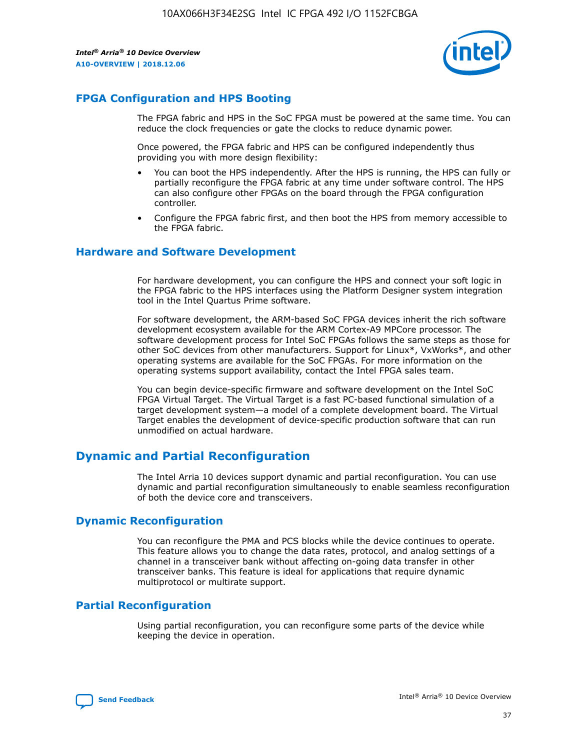

### **FPGA Configuration and HPS Booting**

The FPGA fabric and HPS in the SoC FPGA must be powered at the same time. You can reduce the clock frequencies or gate the clocks to reduce dynamic power.

Once powered, the FPGA fabric and HPS can be configured independently thus providing you with more design flexibility:

- You can boot the HPS independently. After the HPS is running, the HPS can fully or partially reconfigure the FPGA fabric at any time under software control. The HPS can also configure other FPGAs on the board through the FPGA configuration controller.
- Configure the FPGA fabric first, and then boot the HPS from memory accessible to the FPGA fabric.

### **Hardware and Software Development**

For hardware development, you can configure the HPS and connect your soft logic in the FPGA fabric to the HPS interfaces using the Platform Designer system integration tool in the Intel Quartus Prime software.

For software development, the ARM-based SoC FPGA devices inherit the rich software development ecosystem available for the ARM Cortex-A9 MPCore processor. The software development process for Intel SoC FPGAs follows the same steps as those for other SoC devices from other manufacturers. Support for Linux\*, VxWorks\*, and other operating systems are available for the SoC FPGAs. For more information on the operating systems support availability, contact the Intel FPGA sales team.

You can begin device-specific firmware and software development on the Intel SoC FPGA Virtual Target. The Virtual Target is a fast PC-based functional simulation of a target development system—a model of a complete development board. The Virtual Target enables the development of device-specific production software that can run unmodified on actual hardware.

### **Dynamic and Partial Reconfiguration**

The Intel Arria 10 devices support dynamic and partial reconfiguration. You can use dynamic and partial reconfiguration simultaneously to enable seamless reconfiguration of both the device core and transceivers.

### **Dynamic Reconfiguration**

You can reconfigure the PMA and PCS blocks while the device continues to operate. This feature allows you to change the data rates, protocol, and analog settings of a channel in a transceiver bank without affecting on-going data transfer in other transceiver banks. This feature is ideal for applications that require dynamic multiprotocol or multirate support.

### **Partial Reconfiguration**

Using partial reconfiguration, you can reconfigure some parts of the device while keeping the device in operation.

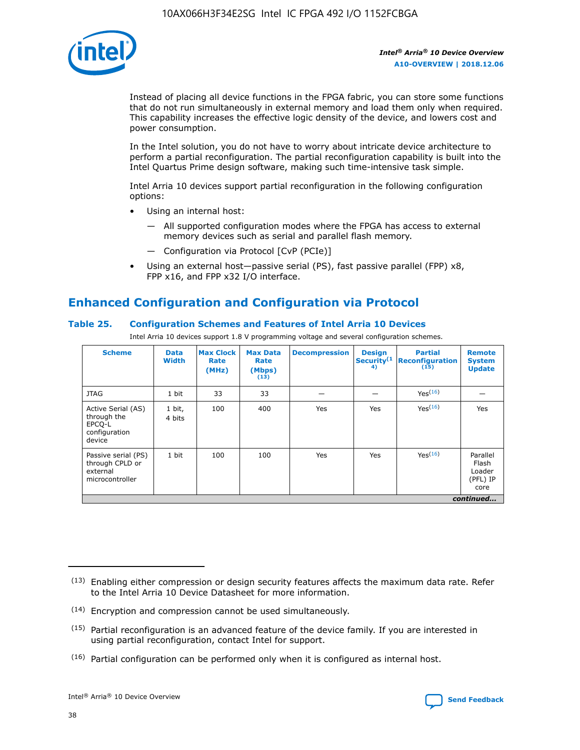

Instead of placing all device functions in the FPGA fabric, you can store some functions that do not run simultaneously in external memory and load them only when required. This capability increases the effective logic density of the device, and lowers cost and power consumption.

In the Intel solution, you do not have to worry about intricate device architecture to perform a partial reconfiguration. The partial reconfiguration capability is built into the Intel Quartus Prime design software, making such time-intensive task simple.

Intel Arria 10 devices support partial reconfiguration in the following configuration options:

- Using an internal host:
	- All supported configuration modes where the FPGA has access to external memory devices such as serial and parallel flash memory.
	- Configuration via Protocol [CvP (PCIe)]
- Using an external host—passive serial (PS), fast passive parallel (FPP) x8, FPP x16, and FPP x32 I/O interface.

### **Enhanced Configuration and Configuration via Protocol**

### **Table 25. Configuration Schemes and Features of Intel Arria 10 Devices**

Intel Arria 10 devices support 1.8 V programming voltage and several configuration schemes.

| <b>Scheme</b>                                                          | <b>Data</b><br><b>Width</b> | <b>Max Clock</b><br>Rate<br>(MHz) | <b>Max Data</b><br>Rate<br>(Mbps)<br>(13) | <b>Decompression</b> | <b>Design</b><br>Security <sup>(1</sup><br>4) | <b>Partial</b><br><b>Reconfiguration</b><br>(15) | <b>Remote</b><br><b>System</b><br><b>Update</b> |
|------------------------------------------------------------------------|-----------------------------|-----------------------------------|-------------------------------------------|----------------------|-----------------------------------------------|--------------------------------------------------|-------------------------------------------------|
| <b>JTAG</b>                                                            | 1 bit                       | 33                                | 33                                        |                      |                                               | Yes(16)                                          |                                                 |
| Active Serial (AS)<br>through the<br>EPCO-L<br>configuration<br>device | 1 bit,<br>4 bits            | 100                               | 400                                       | Yes                  | Yes                                           | $Y_{PS}(16)$                                     | Yes                                             |
| Passive serial (PS)<br>through CPLD or<br>external<br>microcontroller  | 1 bit                       | 100                               | 100                                       | Yes                  | Yes                                           | Yes(16)                                          | Parallel<br>Flash<br>Loader<br>(PFL) IP<br>core |
|                                                                        |                             |                                   |                                           |                      |                                               |                                                  | continued                                       |

<sup>(13)</sup> Enabling either compression or design security features affects the maximum data rate. Refer to the Intel Arria 10 Device Datasheet for more information.

<sup>(14)</sup> Encryption and compression cannot be used simultaneously.

 $<sup>(15)</sup>$  Partial reconfiguration is an advanced feature of the device family. If you are interested in</sup> using partial reconfiguration, contact Intel for support.

 $(16)$  Partial configuration can be performed only when it is configured as internal host.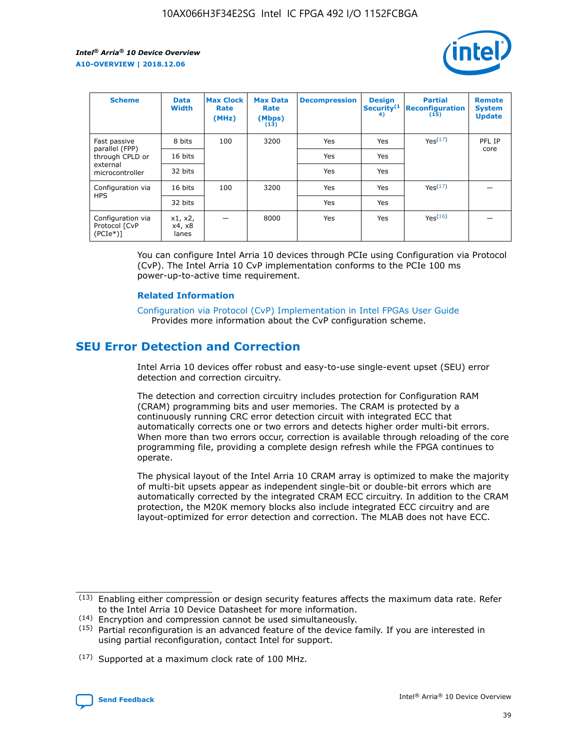

| <b>Scheme</b>                                    | <b>Data</b><br><b>Width</b> | <b>Max Clock</b><br>Rate<br>(MHz) | <b>Max Data</b><br>Rate<br>(Mbps)<br>(13) | <b>Decompression</b> | <b>Design</b><br>Security <sup>(1</sup><br>4) | <b>Partial</b><br><b>Reconfiguration</b><br>(15) | <b>Remote</b><br><b>System</b><br><b>Update</b> |
|--------------------------------------------------|-----------------------------|-----------------------------------|-------------------------------------------|----------------------|-----------------------------------------------|--------------------------------------------------|-------------------------------------------------|
| Fast passive                                     | 8 bits                      | 100                               | 3200                                      | Yes                  | Yes                                           | Yes(17)                                          | PFL IP                                          |
| parallel (FPP)<br>through CPLD or                | 16 bits                     |                                   |                                           | Yes                  | Yes                                           |                                                  | core                                            |
| external<br>microcontroller                      | 32 bits                     |                                   |                                           | Yes                  | Yes                                           |                                                  |                                                 |
| Configuration via                                | 16 bits                     | 100                               | 3200                                      | Yes                  | Yes                                           | Yes <sup>(17)</sup>                              |                                                 |
| <b>HPS</b>                                       | 32 bits                     |                                   |                                           | Yes                  | Yes                                           |                                                  |                                                 |
| Configuration via<br>Protocol [CvP<br>$(PCIe^*)$ | x1, x2,<br>x4, x8<br>lanes  |                                   | 8000                                      | Yes                  | Yes                                           | Yes(16)                                          |                                                 |

You can configure Intel Arria 10 devices through PCIe using Configuration via Protocol (CvP). The Intel Arria 10 CvP implementation conforms to the PCIe 100 ms power-up-to-active time requirement.

#### **Related Information**

[Configuration via Protocol \(CvP\) Implementation in Intel FPGAs User Guide](https://www.intel.com/content/www/us/en/programmable/documentation/dsu1441819344145.html#dsu1442269728522) Provides more information about the CvP configuration scheme.

### **SEU Error Detection and Correction**

Intel Arria 10 devices offer robust and easy-to-use single-event upset (SEU) error detection and correction circuitry.

The detection and correction circuitry includes protection for Configuration RAM (CRAM) programming bits and user memories. The CRAM is protected by a continuously running CRC error detection circuit with integrated ECC that automatically corrects one or two errors and detects higher order multi-bit errors. When more than two errors occur, correction is available through reloading of the core programming file, providing a complete design refresh while the FPGA continues to operate.

The physical layout of the Intel Arria 10 CRAM array is optimized to make the majority of multi-bit upsets appear as independent single-bit or double-bit errors which are automatically corrected by the integrated CRAM ECC circuitry. In addition to the CRAM protection, the M20K memory blocks also include integrated ECC circuitry and are layout-optimized for error detection and correction. The MLAB does not have ECC.

(14) Encryption and compression cannot be used simultaneously.

<sup>(17)</sup> Supported at a maximum clock rate of 100 MHz.



 $(13)$  Enabling either compression or design security features affects the maximum data rate. Refer to the Intel Arria 10 Device Datasheet for more information.

 $(15)$  Partial reconfiguration is an advanced feature of the device family. If you are interested in using partial reconfiguration, contact Intel for support.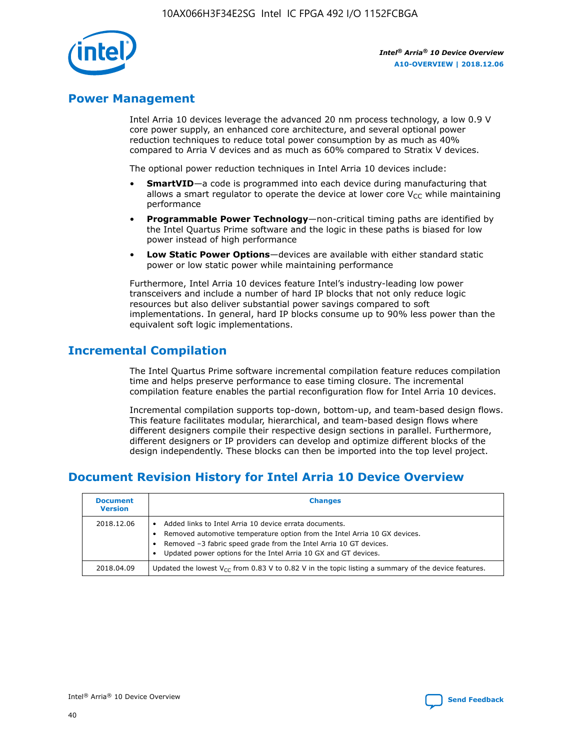

### **Power Management**

Intel Arria 10 devices leverage the advanced 20 nm process technology, a low 0.9 V core power supply, an enhanced core architecture, and several optional power reduction techniques to reduce total power consumption by as much as 40% compared to Arria V devices and as much as 60% compared to Stratix V devices.

The optional power reduction techniques in Intel Arria 10 devices include:

- **SmartVID**—a code is programmed into each device during manufacturing that allows a smart regulator to operate the device at lower core  $V_{CC}$  while maintaining performance
- **Programmable Power Technology**—non-critical timing paths are identified by the Intel Quartus Prime software and the logic in these paths is biased for low power instead of high performance
- **Low Static Power Options**—devices are available with either standard static power or low static power while maintaining performance

Furthermore, Intel Arria 10 devices feature Intel's industry-leading low power transceivers and include a number of hard IP blocks that not only reduce logic resources but also deliver substantial power savings compared to soft implementations. In general, hard IP blocks consume up to 90% less power than the equivalent soft logic implementations.

### **Incremental Compilation**

The Intel Quartus Prime software incremental compilation feature reduces compilation time and helps preserve performance to ease timing closure. The incremental compilation feature enables the partial reconfiguration flow for Intel Arria 10 devices.

Incremental compilation supports top-down, bottom-up, and team-based design flows. This feature facilitates modular, hierarchical, and team-based design flows where different designers compile their respective design sections in parallel. Furthermore, different designers or IP providers can develop and optimize different blocks of the design independently. These blocks can then be imported into the top level project.

### **Document Revision History for Intel Arria 10 Device Overview**

| <b>Document</b><br><b>Version</b> | <b>Changes</b>                                                                                                                                                                                                                                                              |
|-----------------------------------|-----------------------------------------------------------------------------------------------------------------------------------------------------------------------------------------------------------------------------------------------------------------------------|
| 2018.12.06                        | Added links to Intel Arria 10 device errata documents.<br>Removed automotive temperature option from the Intel Arria 10 GX devices.<br>Removed -3 fabric speed grade from the Intel Arria 10 GT devices.<br>Updated power options for the Intel Arria 10 GX and GT devices. |
| 2018.04.09                        | Updated the lowest $V_{CC}$ from 0.83 V to 0.82 V in the topic listing a summary of the device features.                                                                                                                                                                    |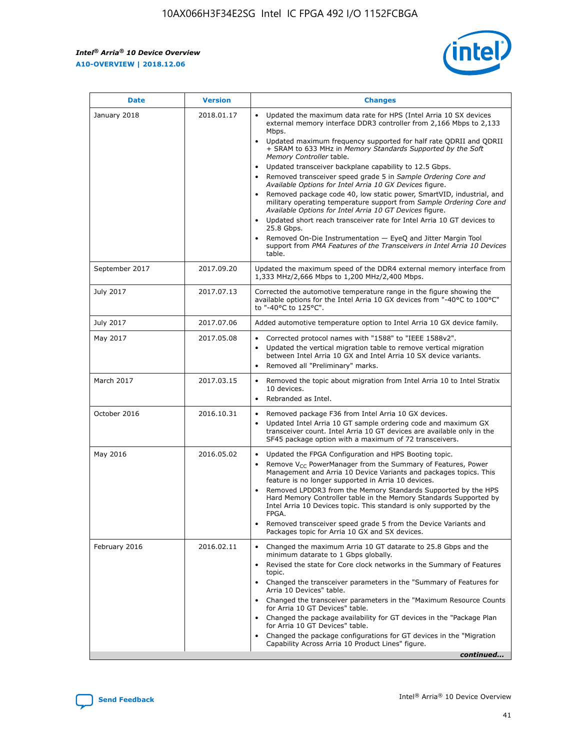

| <b>Date</b>    | <b>Version</b> | <b>Changes</b>                                                                                                                                                                                                                                                                                                                                                                                                                                                                                                                                                                                                                                                                                                                                                                                                                                                                                                                                               |
|----------------|----------------|--------------------------------------------------------------------------------------------------------------------------------------------------------------------------------------------------------------------------------------------------------------------------------------------------------------------------------------------------------------------------------------------------------------------------------------------------------------------------------------------------------------------------------------------------------------------------------------------------------------------------------------------------------------------------------------------------------------------------------------------------------------------------------------------------------------------------------------------------------------------------------------------------------------------------------------------------------------|
| January 2018   | 2018.01.17     | Updated the maximum data rate for HPS (Intel Arria 10 SX devices<br>external memory interface DDR3 controller from 2,166 Mbps to 2,133<br>Mbps.<br>Updated maximum frequency supported for half rate QDRII and QDRII<br>+ SRAM to 633 MHz in Memory Standards Supported by the Soft<br>Memory Controller table.<br>Updated transceiver backplane capability to 12.5 Gbps.<br>Removed transceiver speed grade 5 in Sample Ordering Core and<br>Available Options for Intel Arria 10 GX Devices figure.<br>Removed package code 40, low static power, SmartVID, industrial, and<br>military operating temperature support from Sample Ordering Core and<br>Available Options for Intel Arria 10 GT Devices figure.<br>Updated short reach transceiver rate for Intel Arria 10 GT devices to<br>25.8 Gbps.<br>Removed On-Die Instrumentation - EyeQ and Jitter Margin Tool<br>support from PMA Features of the Transceivers in Intel Arria 10 Devices<br>table. |
| September 2017 | 2017.09.20     | Updated the maximum speed of the DDR4 external memory interface from<br>1,333 MHz/2,666 Mbps to 1,200 MHz/2,400 Mbps.                                                                                                                                                                                                                                                                                                                                                                                                                                                                                                                                                                                                                                                                                                                                                                                                                                        |
| July 2017      | 2017.07.13     | Corrected the automotive temperature range in the figure showing the<br>available options for the Intel Arria 10 GX devices from "-40°C to 100°C"<br>to "-40°C to 125°C".                                                                                                                                                                                                                                                                                                                                                                                                                                                                                                                                                                                                                                                                                                                                                                                    |
| July 2017      | 2017.07.06     | Added automotive temperature option to Intel Arria 10 GX device family.                                                                                                                                                                                                                                                                                                                                                                                                                                                                                                                                                                                                                                                                                                                                                                                                                                                                                      |
| May 2017       | 2017.05.08     | Corrected protocol names with "1588" to "IEEE 1588v2".<br>$\bullet$<br>Updated the vertical migration table to remove vertical migration<br>$\bullet$<br>between Intel Arria 10 GX and Intel Arria 10 SX device variants.<br>Removed all "Preliminary" marks.<br>$\bullet$                                                                                                                                                                                                                                                                                                                                                                                                                                                                                                                                                                                                                                                                                   |
| March 2017     | 2017.03.15     | Removed the topic about migration from Intel Arria 10 to Intel Stratix<br>$\bullet$<br>10 devices.<br>Rebranded as Intel.<br>$\bullet$                                                                                                                                                                                                                                                                                                                                                                                                                                                                                                                                                                                                                                                                                                                                                                                                                       |
| October 2016   | 2016.10.31     | Removed package F36 from Intel Arria 10 GX devices.<br>Updated Intel Arria 10 GT sample ordering code and maximum GX<br>$\bullet$<br>transceiver count. Intel Arria 10 GT devices are available only in the<br>SF45 package option with a maximum of 72 transceivers.                                                                                                                                                                                                                                                                                                                                                                                                                                                                                                                                                                                                                                                                                        |
| May 2016       | 2016.05.02     | Updated the FPGA Configuration and HPS Booting topic.<br>$\bullet$<br>Remove V <sub>CC</sub> PowerManager from the Summary of Features, Power<br>Management and Arria 10 Device Variants and packages topics. This<br>feature is no longer supported in Arria 10 devices.<br>Removed LPDDR3 from the Memory Standards Supported by the HPS<br>Hard Memory Controller table in the Memory Standards Supported by<br>Intel Arria 10 Devices topic. This standard is only supported by the<br><b>FPGA</b><br>Removed transceiver speed grade 5 from the Device Variants and<br>Packages topic for Arria 10 GX and SX devices.                                                                                                                                                                                                                                                                                                                                   |
| February 2016  | 2016.02.11     | Changed the maximum Arria 10 GT datarate to 25.8 Gbps and the<br>$\bullet$<br>minimum datarate to 1 Gbps globally.<br>Revised the state for Core clock networks in the Summary of Features<br>$\bullet$<br>topic.<br>Changed the transceiver parameters in the "Summary of Features for<br>$\bullet$<br>Arria 10 Devices" table.<br>Changed the transceiver parameters in the "Maximum Resource Counts<br>for Arria 10 GT Devices" table.<br>Changed the package availability for GT devices in the "Package Plan<br>for Arria 10 GT Devices" table.<br>Changed the package configurations for GT devices in the "Migration"<br>Capability Across Arria 10 Product Lines" figure.<br>continued                                                                                                                                                                                                                                                               |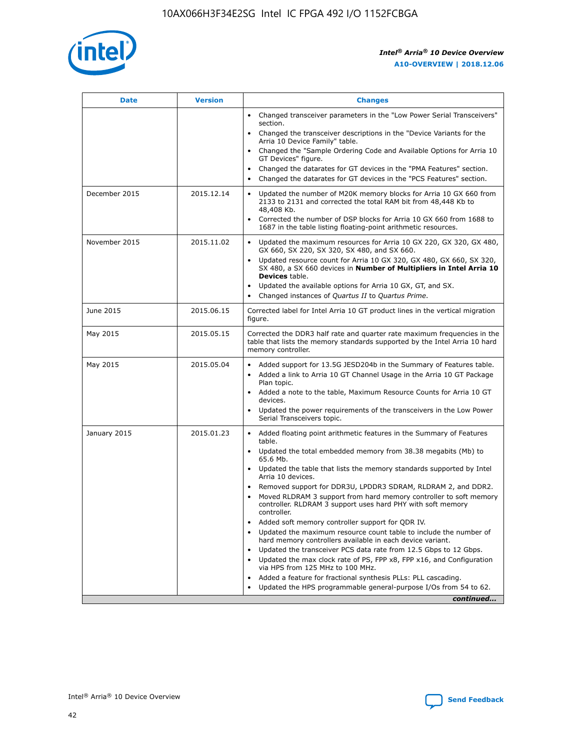

| <b>Date</b>   | <b>Version</b> | <b>Changes</b>                                                                                                                                                               |
|---------------|----------------|------------------------------------------------------------------------------------------------------------------------------------------------------------------------------|
|               |                | • Changed transceiver parameters in the "Low Power Serial Transceivers"<br>section.                                                                                          |
|               |                | • Changed the transceiver descriptions in the "Device Variants for the<br>Arria 10 Device Family" table.                                                                     |
|               |                | Changed the "Sample Ordering Code and Available Options for Arria 10<br>$\bullet$<br>GT Devices" figure.                                                                     |
|               |                | Changed the datarates for GT devices in the "PMA Features" section.                                                                                                          |
|               |                | Changed the datarates for GT devices in the "PCS Features" section.<br>$\bullet$                                                                                             |
| December 2015 | 2015.12.14     | Updated the number of M20K memory blocks for Arria 10 GX 660 from<br>2133 to 2131 and corrected the total RAM bit from 48,448 Kb to<br>48,408 Kb.                            |
|               |                | Corrected the number of DSP blocks for Arria 10 GX 660 from 1688 to<br>1687 in the table listing floating-point arithmetic resources.                                        |
| November 2015 | 2015.11.02     | Updated the maximum resources for Arria 10 GX 220, GX 320, GX 480,<br>$\bullet$<br>GX 660, SX 220, SX 320, SX 480, and SX 660.                                               |
|               |                | • Updated resource count for Arria 10 GX 320, GX 480, GX 660, SX 320,<br>SX 480, a SX 660 devices in Number of Multipliers in Intel Arria 10<br><b>Devices</b> table.        |
|               |                | Updated the available options for Arria 10 GX, GT, and SX.                                                                                                                   |
|               |                | Changed instances of Quartus II to Quartus Prime.<br>$\bullet$                                                                                                               |
| June 2015     | 2015.06.15     | Corrected label for Intel Arria 10 GT product lines in the vertical migration<br>figure.                                                                                     |
| May 2015      | 2015.05.15     | Corrected the DDR3 half rate and quarter rate maximum frequencies in the<br>table that lists the memory standards supported by the Intel Arria 10 hard<br>memory controller. |
| May 2015      | 2015.05.04     | • Added support for 13.5G JESD204b in the Summary of Features table.                                                                                                         |
|               |                | • Added a link to Arria 10 GT Channel Usage in the Arria 10 GT Package<br>Plan topic.                                                                                        |
|               |                | • Added a note to the table, Maximum Resource Counts for Arria 10 GT<br>devices.                                                                                             |
|               |                | • Updated the power requirements of the transceivers in the Low Power<br>Serial Transceivers topic.                                                                          |
| January 2015  | 2015.01.23     | • Added floating point arithmetic features in the Summary of Features<br>table.                                                                                              |
|               |                | • Updated the total embedded memory from 38.38 megabits (Mb) to<br>65.6 Mb.                                                                                                  |
|               |                | • Updated the table that lists the memory standards supported by Intel<br>Arria 10 devices.                                                                                  |
|               |                | Removed support for DDR3U, LPDDR3 SDRAM, RLDRAM 2, and DDR2.                                                                                                                 |
|               |                | Moved RLDRAM 3 support from hard memory controller to soft memory<br>controller. RLDRAM 3 support uses hard PHY with soft memory<br>controller.                              |
|               |                | Added soft memory controller support for QDR IV.<br>٠                                                                                                                        |
|               |                | Updated the maximum resource count table to include the number of<br>hard memory controllers available in each device variant.                                               |
|               |                | Updated the transceiver PCS data rate from 12.5 Gbps to 12 Gbps.<br>$\bullet$                                                                                                |
|               |                | Updated the max clock rate of PS, FPP x8, FPP x16, and Configuration<br>via HPS from 125 MHz to 100 MHz.                                                                     |
|               |                | Added a feature for fractional synthesis PLLs: PLL cascading.                                                                                                                |
|               |                | Updated the HPS programmable general-purpose I/Os from 54 to 62.<br>$\bullet$                                                                                                |
|               |                | continued                                                                                                                                                                    |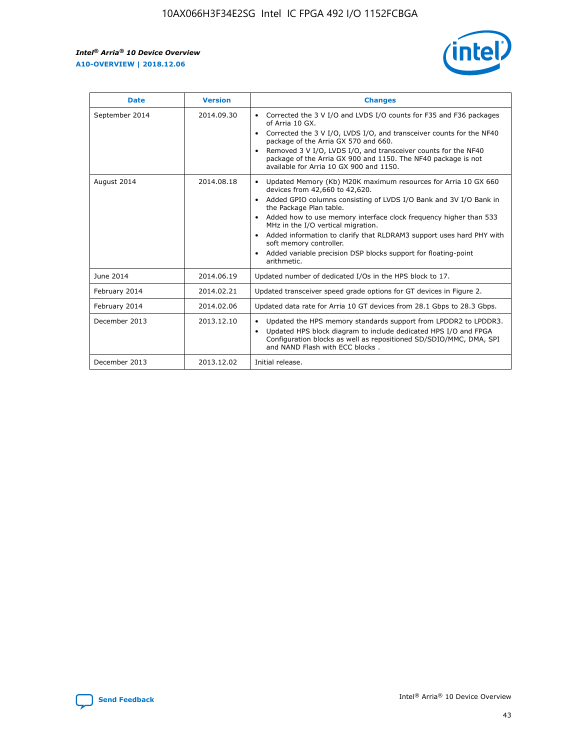r



| <b>Date</b>    | <b>Version</b> | <b>Changes</b>                                                                                                                                                                                                                                                                                                                                                                                                                                                                                                                                      |
|----------------|----------------|-----------------------------------------------------------------------------------------------------------------------------------------------------------------------------------------------------------------------------------------------------------------------------------------------------------------------------------------------------------------------------------------------------------------------------------------------------------------------------------------------------------------------------------------------------|
| September 2014 | 2014.09.30     | Corrected the 3 V I/O and LVDS I/O counts for F35 and F36 packages<br>$\bullet$<br>of Arria 10 GX.<br>Corrected the 3 V I/O, LVDS I/O, and transceiver counts for the NF40<br>$\bullet$<br>package of the Arria GX 570 and 660.<br>Removed 3 V I/O, LVDS I/O, and transceiver counts for the NF40<br>package of the Arria GX 900 and 1150. The NF40 package is not<br>available for Arria 10 GX 900 and 1150.                                                                                                                                       |
| August 2014    | 2014.08.18     | Updated Memory (Kb) M20K maximum resources for Arria 10 GX 660<br>devices from 42,660 to 42,620.<br>Added GPIO columns consisting of LVDS I/O Bank and 3V I/O Bank in<br>$\bullet$<br>the Package Plan table.<br>Added how to use memory interface clock frequency higher than 533<br>$\bullet$<br>MHz in the I/O vertical migration.<br>Added information to clarify that RLDRAM3 support uses hard PHY with<br>$\bullet$<br>soft memory controller.<br>Added variable precision DSP blocks support for floating-point<br>$\bullet$<br>arithmetic. |
| June 2014      | 2014.06.19     | Updated number of dedicated I/Os in the HPS block to 17.                                                                                                                                                                                                                                                                                                                                                                                                                                                                                            |
| February 2014  | 2014.02.21     | Updated transceiver speed grade options for GT devices in Figure 2.                                                                                                                                                                                                                                                                                                                                                                                                                                                                                 |
| February 2014  | 2014.02.06     | Updated data rate for Arria 10 GT devices from 28.1 Gbps to 28.3 Gbps.                                                                                                                                                                                                                                                                                                                                                                                                                                                                              |
| December 2013  | 2013.12.10     | Updated the HPS memory standards support from LPDDR2 to LPDDR3.<br>Updated HPS block diagram to include dedicated HPS I/O and FPGA<br>$\bullet$<br>Configuration blocks as well as repositioned SD/SDIO/MMC, DMA, SPI<br>and NAND Flash with ECC blocks.                                                                                                                                                                                                                                                                                            |
| December 2013  | 2013.12.02     | Initial release.                                                                                                                                                                                                                                                                                                                                                                                                                                                                                                                                    |